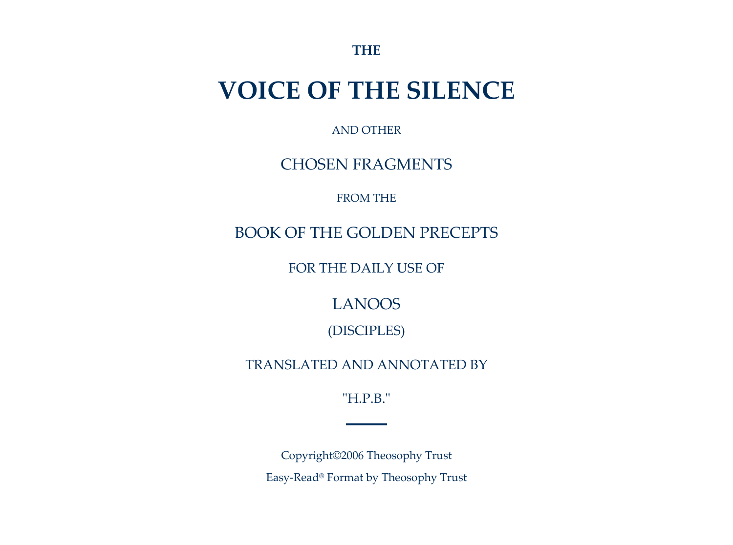# **VOICE OF THE SILENCE**

AND OTHER

CHOSEN FRAGMENTS

FROM THE

BOOK OF THE GOLDEN PRECEPTS

FOR THE DAILY USE OF

LANOOS

(DISCIPLES)

TRANSLATED AND ANNOTATED BY

 $"H.P.B."$ 

Copyright©2006 Theosophy Trust Easy‐Read® Format by Theosophy Trust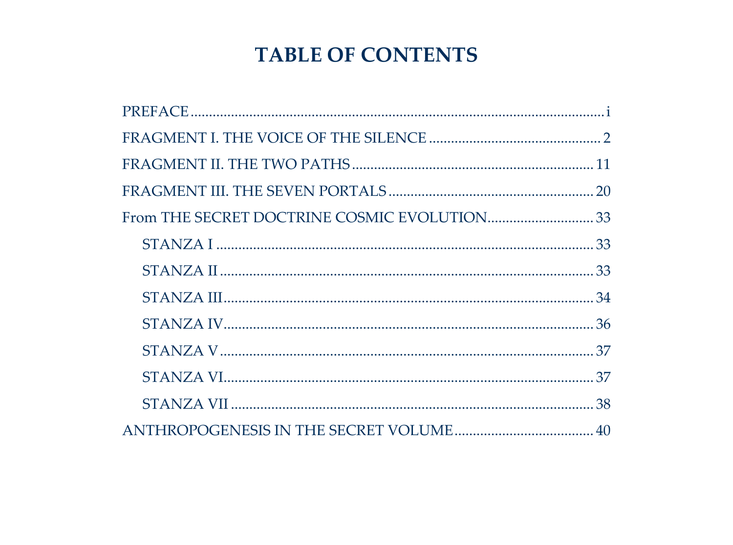# TABLE OF CONTENTS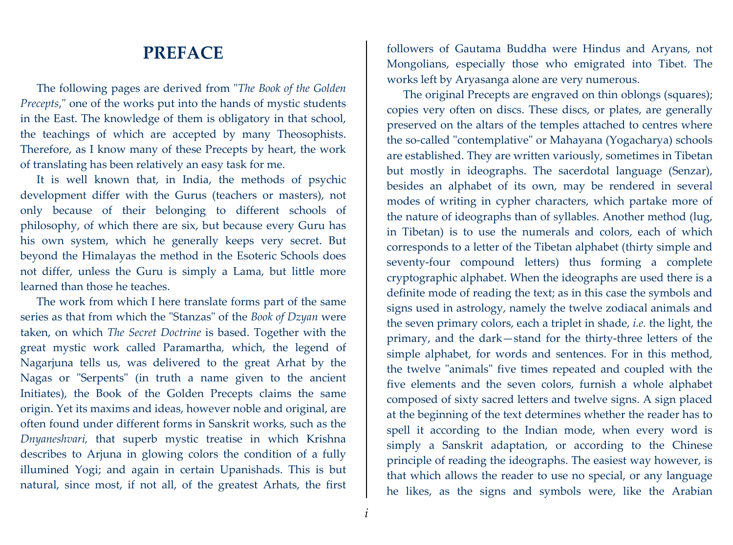### **PREFACE**

<span id="page-2-0"></span>The following pages are derived from <sup>ʺ</sup>*The Book of the Golden Precepts*," one of the works put into the hands of mystic students in the East. The knowledge of them is obligatory in that school, the teachings of which are accepted by many Theosophists. Therefore, as I know many of these Precepts by heart, the work of translating has been relatively an easy task for me.

It is well known that, in India, the methods of psychic development differ with the Gurus (teachers or masters), not only because of their belonging to different schools of philosophy, of which there are six, but because every Guru has his own system, which he generally keeps very secret. But beyond the Himalayas the method in the Esoteric Schools does not differ, unless the Guru is simply <sup>a</sup> Lama, but little more learned than those he teaches.

The work from which I here translate forms par<sup>t</sup> of the same series as that from which the <sup>ʺ</sup>Stanzasʺ of the *Book of Dzyan* were taken, on which *The Secret Doctrine* is based. Together with the grea<sup>t</sup> mystic work called Paramartha*,* which, the legend of Nagarjuna tells us, was delivered to the grea<sup>t</sup> Arhat by the Nagas or "Serpents" (in truth a name given to the ancient Initiates), the Book of the Golden Precepts claims the same origin. Yet its maxims and ideas, however noble and original, are often found under different forms in Sanskrit works, such as the *Dnyaneshvari,* that superb mystic treatise in which Krishna describes to Arjuna in glowing colors the condition of <sup>a</sup> fully illumined Yogi; and again in certain Upanishads. This is but natural, since most, if not all, of the greatest Arhats, the first

followers of Gautama Buddha were Hindus and Aryans, not Mongolians, especially those who emigrated into Tibet. The works left by Aryasanga alone are very numerous.

The original Precepts are engraved on thin oblongs (squares); copies very often on discs. These discs, or plates, are generally preserved on the altars of the temples attached to centres where the so-called "contemplative" or Mahayana (Yogacharya) schools are established. They are written variously, sometimes in Tibetan but mostly in ideographs. The sacerdotal language (Senzar), besides an alphabet of its own, may be rendered in several modes of writing in cypher characters, which partake more of the nature of ideographs than of syllables. Another method (lug, in Tibetan) is to use the numerals and colors, each of which corresponds to <sup>a</sup> letter of the Tibetan alphabet (thirty simple and seventy-four compound letters) thus forming a complete cryptographic alphabet. When the ideographs are used there is <sup>a</sup> definite mode of reading the text; as in this case the symbols and signs used in astrology, namely the twelve zodiacal animals and the seven primary colors, each <sup>a</sup> triplet in shade, *i.e.* the light, the primary, and the dark—stand for the thirty-three letters of the simple alphabet, for words and sentences. For in this method, the twelve "animals" five times repeated and coupled with the five elements and the seven colors, furnish <sup>a</sup> whole alphabet composed of sixty sacred letters and twelve signs. A sign placed at the beginning of the text determines whether the reader has to spell it according to the Indian mode, when every word is simply <sup>a</sup> Sanskrit adaptation, or according to the Chinese principle of reading the ideographs. The easiest way however, is that which allows the reader to use no special, or any language he likes, as the signs and symbols were, like the Arabian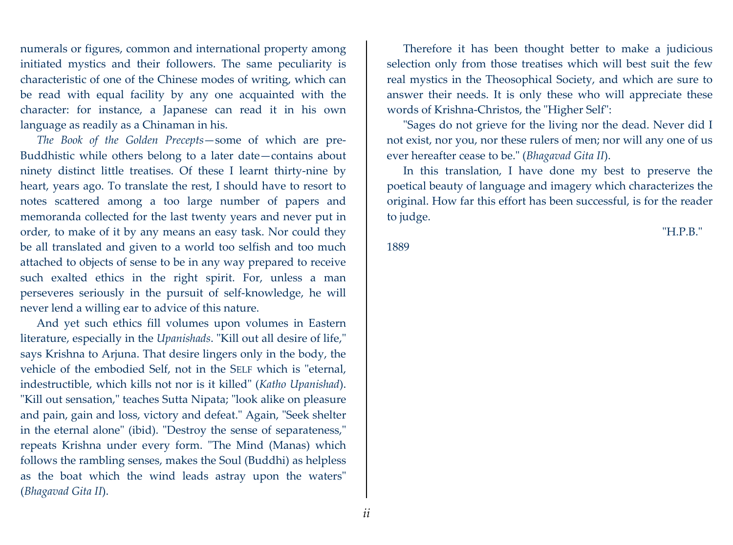numerals or figures, common and international property among initiated mystics and their followers. The same peculiarity is characteristic of one of the Chinese modes of writing, which can be read with equal facility by any one acquainted with the character: for instance, <sup>a</sup> Japanese can read it in his own language as readily as <sup>a</sup> Chinaman in his.

*The Book of the Golden Precepts*—some of which are pre‐ Buddhistic while others belong to <sup>a</sup> later date—contains about ninety distinct little treatises. Of these I learnt thirty-nine by heart, years ago. To translate the rest, I should have to resort to notes scattered among <sup>a</sup> too large number of papers and memoranda collected for the last twenty years and never pu<sup>t</sup> in order, to make of it by any means an easy task. Nor could they be all translated and given to <sup>a</sup> world too selfish and too much attached to objects of sense to be in any way prepared to receive such exalted ethics in the right spirit. For, unless <sup>a</sup> man perseveres seriously in the pursuit of self‐knowledge, he will never lend <sup>a</sup> willing ear to advice of this nature.

And ye<sup>t</sup> such ethics fill volumes upon volumes in Eastern literature, especially in the *Upanishads*. "Kill out all desire of life," says Krishna to Arjuna. That desire lingers only in the body, the vehicle of the embodied Self, not in the SELF which is "eternal, indestructible, which kills not nor is it killedʺ (*Katho Upanishad*). "Kill out sensation," teaches Sutta Nipata; "look alike on pleasure and pain, gain and loss, victory and defeat." Again, "Seek shelter in the eternal alone" (ibid). "Destroy the sense of separateness," repeats Krishna under every form. "The Mind (Manas) which follows the rambling senses, makes the Soul (Buddhi) as helpless as the boat which the wind leads astray upon the waters" (*Bhagavad Gita II*).

Therefore it has been thought better to make <sup>a</sup> judicious selection only from those treatises which will best suit the few real mystics in the Theosophical Society, and which are sure to answer their needs. It is only these who will appreciate these words of Krishna-Christos, the "Higher Self":

"Sages do not grieve for the living nor the dead. Never did I not exist, nor you, nor these rulers of men; nor will any one of us ever hereafter cease to be.ʺ (*Bhagavad Gita II*).

In this translation, I have done my best to preserve the poetical beauty of language and imagery which characterizes the original. How far this effort has been successful, is for the reader to judge.

 $"H.P.B."$ 

1889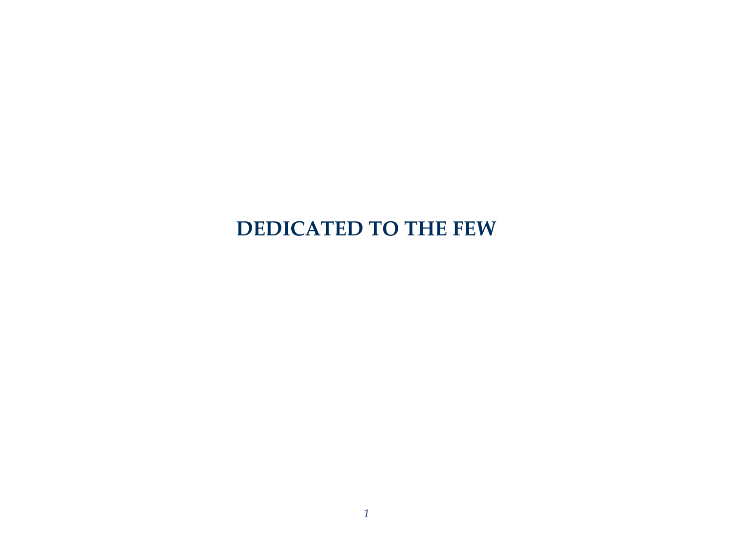### **DEDICATED TO THE FEW**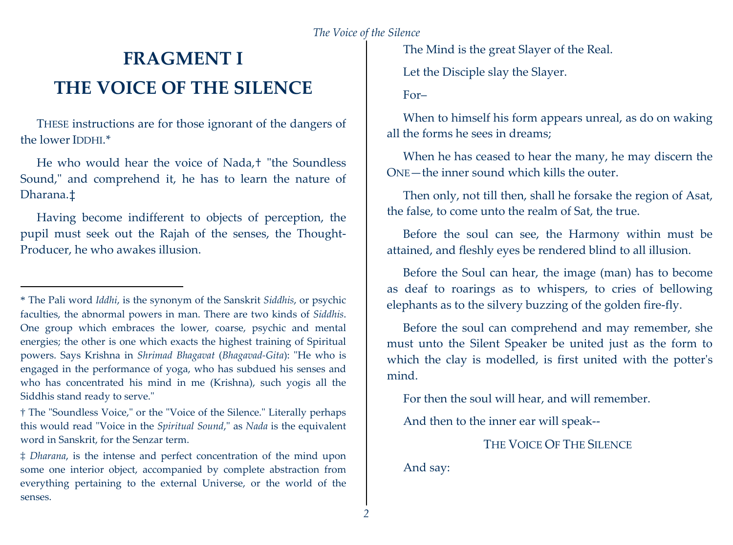### <span id="page-5-0"></span>**FRAGMENT I THE VOICE OF THE SILENCE**

THESE instructions are for those ignorant of the dangers of the lower IDDHI.[\\*](#page-5-1)

He who would hear the voice of Nada,[†](#page-5-2) "the Soundless Sound," and comprehend it, he has to learn the nature of Dharana.[‡](#page-5-3)

Having become indifferent to objects of perception, the pupil must seek out the Rajah of the senses, the Thought-Producer, he who awakes illusion.

The Mind is the grea<sup>t</sup> Slayer of the Real.

Let the Disciple slay the Slayer.

For–

When to himself his form appears unreal, as do on waking all the forms he sees in dreams;

When he has ceased to hear the many, he may discern the ONE—the inner sound which kills the outer.

Then only, not till then, shall he forsake the region of Asat, the false, to come unto the realm of Sat, the true.

Before the soul can see, the Harmony within must be attained, and fleshly eyes be rendered blind to all illusion.

Before the Soul can hear, the image (man) has to become as deaf to roarings as to whispers, to cries of bellowing elephants as to the silvery buzzing of the golden fire‐fly.

Before the soul can comprehend and may remember, she must unto the Silent Speaker be united just as the form to which the clay is modelled, is first united with the potter<sup>ʹ</sup><sup>s</sup> mind.

For then the soul will hear, and will remember.

And then to the inner ear will speak‐‐

THE VOICE OF THE SILENCE

And say:

<span id="page-5-1"></span><sup>\*</sup> The Pali word *Iddhi*, is the synonym of the Sanskrit *Siddhis*, or psychic faculties, the abnormal powers in man. There are two kinds of *Siddhis*. One group which embraces the lower, coarse, psychic and mental energies; the other is one which exacts the highest training of Spiritual powers. Says Krishna in *Shrimad Bhagavat* (*Bhagavad‐Gita*): <sup>ʺ</sup>He who is engaged in the performance of yoga, who has subdued his senses and who has concentrated his mind in me (Krishna), such yogis all the Siddhis stand ready to serve."

<span id="page-5-2"></span><sup>&</sup>lt;sup>†</sup> The "Soundless Voice," or the "Voice of the Silence." Literally perhaps this would read "Voice in the *Spiritual Sound,*" as *Nada* is the equivalent word in Sanskrit, for the Senzar term.

<span id="page-5-3"></span><sup>‡</sup> *Dharana*, is the intense and perfect concentration of the mind upon some one interior object, accompanied by complete abstraction from everything pertaining to the external Universe, or the world of the senses.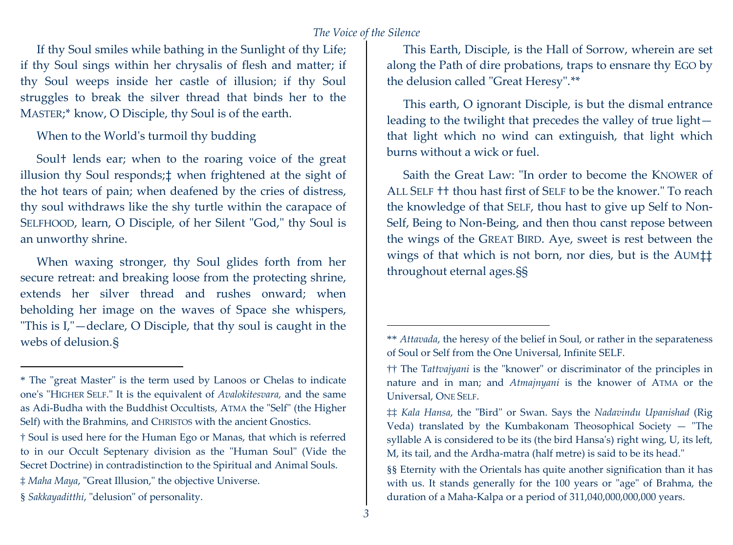If thy Soul smiles while bathing in the Sunlight of thy Life; if thy Soul sings within her chrysalis of flesh and matter; if thy Soul weeps inside her castle of illusion; if thy Soul struggles to break the silver thread that binds her to the MASTER;[\\*](#page-6-0) know, O Disciple, thy Soul is of the earth.

When to the World<sup>ʹ</sup><sup>s</sup> turmoil thy budding

Soul[†](#page-6-1) lends ear; when to the roaring voice of the grea<sup>t</sup> illusion thy Soul responds;[‡](#page-6-2) when frightened at the sight of the hot tears of pain; when deafened by the cries of distress, thy soul withdraws like the shy turtle within the carapace of SELFHOOD, learn, O Disciple, of her Silent "God," thy Soul is an unworthy shrine.

When waxing stronger, thy Soul glides forth from her secure retreat: and breaking loose from the protecting shrine, extends her silver thread and rushes onward; when beholding her image on the waves of Space she whispers, "This is I,"—declare, O Disciple, that thy soul is caught in the webs of delusion. [§](#page-6-3)

<span id="page-6-7"></span><span id="page-6-2"></span> $\ddagger$  *Maha Maya*, "Great Illusion," the objective Universe.

This Earth, Disciple, is the Hall of Sorrow, wherein are set along the Path of dire probations, traps to ensnare thy EGO by the delusion called "Great Heresy".[\\*\\*](#page-6-4)

This earth, O ignorant Disciple, is but the dismal entrance leading to the twilight that precedes the valley of true light that light which no wind can extinguish, that light which burns without a wick or fuel.

Saith the Great Law: "In order to become the KNOWER of ALLSELF [††](#page-6-5) thou hast first of SELF to be the knower.ʺ To reachthe knowledge of that SELF, thou hast to give up Self to Non‐ Self, Being to Non-Being, and then thou canst repose between the wings of the GREAT BIRD. Aye, sweet is rest between the wings of that which is not born, nor dies, but is the AUM[‡‡](#page-6-6) throughout eternal ages.[§§](#page-6-7)

<span id="page-6-5"></span><span id="page-6-4"></span><span id="page-6-0"></span><sup>\*</sup> The <sup>ʺ</sup>grea<sup>t</sup> Masterʺ is the term used by Lanoos or Chelas to indicate one<sup>ʹ</sup><sup>s</sup> <sup>ʺ</sup> HIGHER SELF.ʺ It is the equivalent of *Avalokitesvara,* and the same as Adi-Budha with the Buddhist Occultists, ATMA the "Self" (the Higher Self) with the Brahmins, and CHRISTOS with the ancient Gnostics.

<span id="page-6-6"></span><span id="page-6-1"></span><sup>†</sup> Soul is used here for the Human Ego or Manas, that which is referred to in our Occult Septenary division as the "Human Soul" (Vide the Secret Doctrine) in contradistinction to the Spiritual and Animal Souls.

<span id="page-6-3"></span><sup>§</sup> *Sakkayaditthi*, "delusion" of personality.

<sup>\*\*</sup> *Attavada*, the heresy of the belief in Soul, or rather in the separateness of Soul or Self from the One Universal, Infinite SELF.

<sup>††</sup> The <sup>T</sup>*attvajyani* is the <sup>ʺ</sup>knowerʺ or discriminator of the principles in nature and in man; and *Atmajnyani* is the knower of ATMA or the Universal, ONE SELF.

 $\ddagger$  *‡t Kala Hansa, the "Bird" or Swan. Says the Nadavindu Upanishad (Rig***)** Veda) translated by the Kumbakonam Theosophical Society — "The syllable A is considered to be its (the bird Hansa<sup>ʹ</sup>s) right wing, U, its left, M, its tail, and the Ardha-matra (half metre) is said to be its head."

<sup>§§</sup> Eternity with the Orientals has quite another signification than it has with us. It stands generally for the 100 years or "age" of Brahma, the duration of <sup>a</sup> Maha‐Kalpa or <sup>a</sup> period of 311,040,000,000,000 years.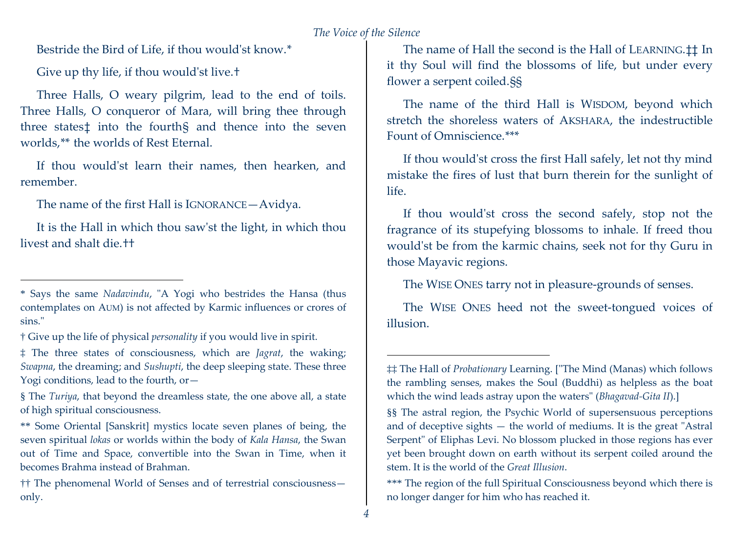Bestride the Bird of Life, if thou would<sup>ʹ</sup>st know.[\\*](#page-7-0)

Give up thy life, if thou would<sup>ʹ</sup>st live.[†](#page-7-1)

Three Halls, O weary pilgrim, lead to the end of toils. Three Halls, O conqueror of Mara, will bring thee through three states[‡](#page-7-2) into the fourth[§](#page-7-3) and thence into the seven worlds,[\\*\\*](#page-7-4) the worlds of Rest Eternal.

If thou would<sup>ʹ</sup>st learn their names, then hearken, and remember.

The name of the first Hall is IGNORANCE—Avidya.

It is the Hall in which thou saw<sup>ʹ</sup>st the light, in which thou livest and shalt die.[††](#page-7-5)

<span id="page-7-5"></span>†† The phenomenal World of Senses and of terrestrial consciousness only.

The name of Hall the second is the Hall of LEARNING.[‡‡](#page-7-6) In it thy Soul will find the blossoms of life, but under every flower a serpen<sup>t</sup> coiled.[§§](#page-7-7)

The name of the third Hall is WISDOM, beyond which stretch the shoreless waters of AKSHARA, the indestructible Fount of Omniscience.[\\*\\*\\*](#page-7-5)

If thou would'st cross the first Hall safely, let not thy mind mistake the fires of lust that burn therein for the sunlight of life.

If thou would'st cross the second safely, stop not the fragrance of its stupefying blossoms to inhale. If freed thou would'st be from the karmic chains, seek not for thy Guru in those Mayavic regions.

The WISE ONES tarry not in pleasure‐grounds of senses.

The WISE ONES heed not the sweet-tongued voices of illusion.

<span id="page-7-0"></span><sup>\*</sup> Says the same *Nadavindu*, "A Yogi who bestrides the Hansa (thus contemplates on AUM) is not affected by Karmic influences or crores of sins."

<span id="page-7-1"></span><sup>†</sup> Give up the life of physical *personality* if you would live in spirit.

<span id="page-7-6"></span><span id="page-7-2"></span><sup>‡</sup> The three states of consciousness, which are *Jagrat*, the waking; *Swapna*, the dreaming; and *Sushupti*, the deep sleeping state. These three Yogi conditions, lead to the fourth, or—

<span id="page-7-7"></span><span id="page-7-3"></span><sup>§</sup> The *Turiya*, that beyond the dreamless state, the one above all, <sup>a</sup> state of high spiritual consciousness.

<span id="page-7-4"></span><sup>\*\*</sup> Some Oriental [Sanskrit] mystics locate seven planes of being, the seven spiritual *lokas* or worlds within the body of *Kala Hansa*, the Swan out of Time and Space, convertible into the Swan in Time, when it becomes Brahma instead of Brahman.

<sup>‡‡</sup> The Hall of *Probationary* Learning. [<sup>ʺ</sup>The Mind (Manas) which follows the rambling senses, makes the Soul (Buddhi) as helpless as the boat which the wind leads astray upon the watersʺ (*Bhagavad‐Gita II*).]

<sup>§§</sup> The astral region, the Psychic World of supersensuous perceptions and of deceptive sights — the world of mediums. It is the great "Astral Serpent" of Eliphas Levi. No blossom plucked in those regions has ever ye<sup>t</sup> been brought down on earth without its serpen<sup>t</sup> coiled around the stem. It is the world of the *Great Illusion*.

<sup>\*\*\*</sup> The region of the full Spiritual Consciousness beyond which there is no longer danger for him who has reached it.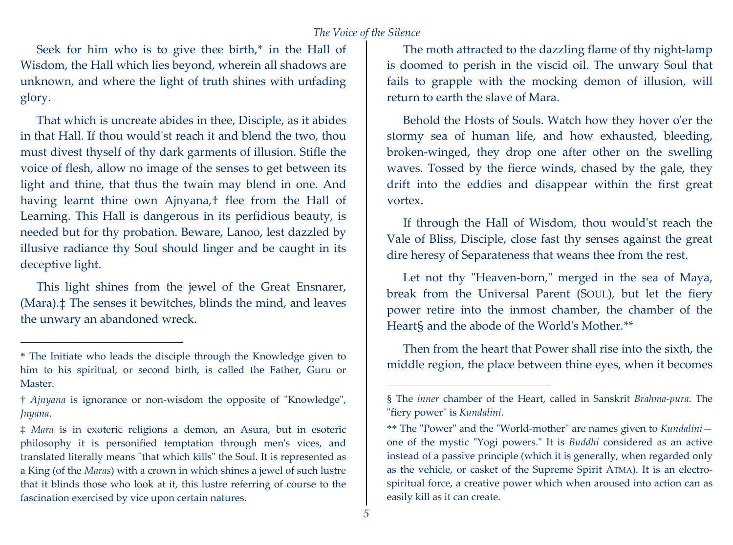Seek for him who is to give thee birth,[\\*](#page-8-0) in the Hall of Wisdom, the Hall which lies beyond, wherein all shadows are unknown, and where the light of truth shines with unfading glory.

That which is uncreate abides in thee, Disciple, as it abides in that Hall. If thou would<sup>ʹ</sup>st reach it and blend the two, thou must divest thyself of thy dark garments of illusion. Stifle the voice of flesh, allow no image of the senses to ge<sup>t</sup> between its light and thine, that thus the twain may blend in one. And having learnt thine own Ajnyana,<sup>[†](#page-8-1)</sup> flee from the Hall of Learning. This Hall is dangerous in its perfidious beauty, is needed but for thy probation. Beware, Lanoo, lest dazzled by illusive radiance thy Soul should linger and be caught in its deceptive light.

This light shines from the jewel of the Great Ensnarer, (Mara).[‡](#page-8-2) The senses it bewitches, blinds the mind, and leaves the unwary an abandoned wreck.

The moth attracted to the dazzling flame of thy night‐lamp is doomed to perish in the viscid oil. The unwary Soul that fails to grapple with the mocking demon of illusion, will return to earth the slave of Mara.

Behold the Hosts of Souls. Watch how they hover o'er the stormy sea of human life, and how exhausted, bleeding, broken‐winged, they drop one after other on the swelling waves. Tossed by the fierce winds, chased by the gale, they drift into the eddies and disappear within the first grea<sup>t</sup> vortex.

If through the Hall of Wisdom, thou would<sup>ʹ</sup>st reach the Vale of Bliss, Disciple, close fast thy senses against the grea<sup>t</sup> dire heresy of Separateness that weans thee from the rest.

Let not thy "Heaven-born," merged in the sea of Maya, break from the Universal Parent (SOUL), but let the fiery power retire into the inmost chamber, the chamber of the Heart[§](#page-8-3) and the abode of the World's Mother.[\\*\\*](#page-8-4)

Then from the heart that Power shall rise into the sixth, the middle region, the place between thine eyes, when it becomes

<span id="page-8-0"></span><sup>\*</sup> The Initiate who leads the disciple through the Knowledge given to him to his spiritual, or second birth, is called the Father, Guru or Master.

<span id="page-8-3"></span><span id="page-8-1"></span> $\dagger$  *Ajnyana* is ignorance or non-wisdom the opposite of "Knowledge", *Jnyana*.

<span id="page-8-4"></span><span id="page-8-2"></span><sup>‡</sup> *Mara* is in exoteric religions <sup>a</sup> demon, an Asura, but in esoteric philosophy it is personified temptation through men<sup>ʹ</sup><sup>s</sup> vices, and translated literally means "that which kills" the Soul. It is represented as a King (of the *Maras*) with <sup>a</sup> crown in which shines <sup>a</sup> jewel of such lustre that it blinds those who look at it, this lustre referring of course to the fascination exercised by vice upon certain natures.

<sup>§</sup> The *inner* chamber of the Heart, called in Sanskrit *Brahma‐pura*. The "fiery power" is *Kundalini*.

<sup>\*\*</sup> The "Power" and the "World-mother" are names given to *Kundalini* one of the mystic <sup>ʺ</sup>Yogi powers.ʺ It is *Buddhi* considered as an active instead of <sup>a</sup> passive principle (which it is generally, when regarded only as the vehicle, or casket of the Supreme Spirit ATMA). It is an electro‐ spiritual force, <sup>a</sup> creative power which when aroused into action can as easily kill as it can create.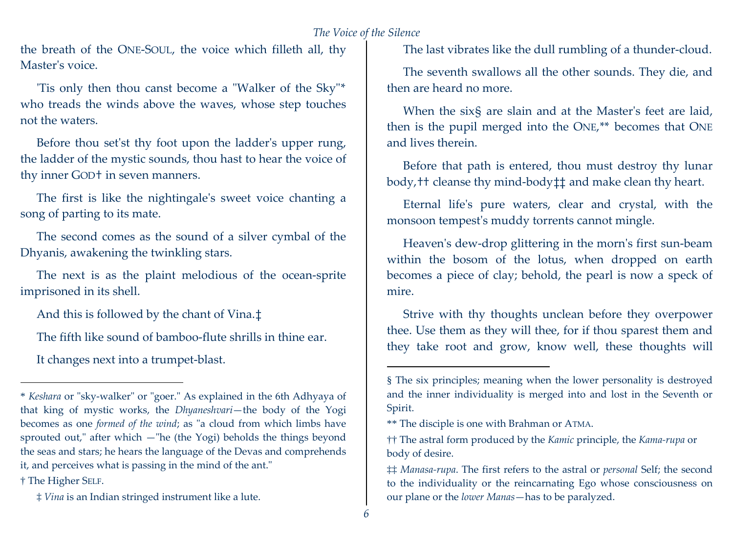the breath of the ONE‐SOUL, the voice which filleth all, thy Master<sup>ʹ</sup>s voice.

'Tis only then thou canst become a "Walker of the Sky"[\\*](#page-9-0) who treads the winds above the waves, whose step touches not the waters.

Before thou set'st thy foot upon the ladder's upper rung, the ladder of the mystic sounds, thou hast to hear the voice of thy inner GOD[†](#page-9-1) in seven manners.

The first is like the nightingale<sup>ʹ</sup><sup>s</sup> sweet voice chanting a song of parting to its mate.

The second comes as the sound of a silver cymbal of the Dhyanis, awakening the twinkling stars.

The next is as the plaint melodious of the ocean‐sprite imprisoned in its shell.

And this is followed by the chant of Vina.[‡](#page-9-2)

The fifth like sound of bamboo‐flute shrills in thine ear.

It changes next into a trumpet‐blast.

<span id="page-9-6"></span><span id="page-9-2"></span><span id="page-9-1"></span>† The Higher SELF.

The last vibrates like the dull rumbling of a thunder‐cloud.

The seventh swallows all the other sounds. They die, and then are heard no more.

When the six[§](#page-9-3) are slain and at the Master's feet are laid, then is the pupil merged into the ONE,[\\*\\*](#page-9-4) becomes that ONEand lives therein.

Before that path is entered, thou must destroy thy lunar body,[††](#page-9-5) cleanse thy mind‐body[‡‡](#page-9-6) and make clean thy heart.

Eternal life<sup>ʹ</sup><sup>s</sup> pure waters, clear and crystal, with the monsoon tempest<sup>ʹ</sup><sup>s</sup> muddy torrents cannot mingle.

Heaven's dew-drop glittering in the morn's first sun-beam within the bosom of the lotus, when dropped on earth becomes a piece of clay; behold, the pearl is now a speck of mire.

Strive with thy thoughts unclean before they overpower thee. Use them as they will thee, for if thou spares<sup>t</sup> them and they take root and grow, know well, these thoughts will

<span id="page-9-5"></span><span id="page-9-4"></span><span id="page-9-3"></span><span id="page-9-0"></span><sup>\*</sup> *Keshara* or <sup>ʺ</sup>sky‐walkerʺ or <sup>ʺ</sup>goer.ʺ As explained in the 6th Adhyaya of that king of mystic works, the *Dhyaneshvari*—the body of the Yogi becomes as one *formed of the wind*; as <sup>ʺ</sup><sup>a</sup> cloud from which limbs have sprouted out," after which – "he (the Yogi) beholds the things beyond the seas and stars; he hears the language of the Devas and comprehends it, and perceives what is passing in the mind of the ant."

<sup>‡</sup> *Vina* is an Indian stringed instrument like <sup>a</sup> lute.

<sup>§</sup> The six principles; meaning when the lower personality is destroyed and the inner individuality is merged into and lost in the Seventh or Spirit.

<sup>\*\*</sup> The disciple is one with Brahman or ATMA.

<sup>††</sup> The astral form produced by the *Kamic* principle, the *Kama‐rupa* or body of desire.

<sup>‡‡</sup> *Manasa‐rupa*. The first refers to the astral or *personal* Self; the second to the individuality or the reincarnating Ego whose consciousness on our plane or the *lower Manas*—has to be paralyzed.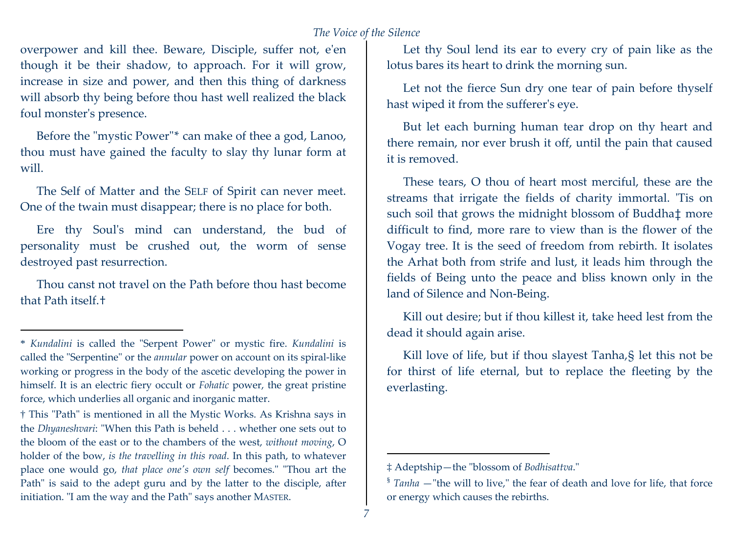overpower and kill thee. Beware, Disciple, suffer not, <sup>e</sup><sup>ʹ</sup>en though it be their shadow, to approach. For it will grow, increase in size and power, and then this thing of darkness will absorb thy being before thou hast well realized the black foul monster<sup>ʹ</sup><sup>s</sup> presence.

Before the "mystic Power"[\\*](#page-10-0) can make of thee a god, Lanoo, thou must have gained the faculty to slay thy lunar form at will.

The Self of Matter and the SELF of Spirit can never meet. One of the twain must disappear; there is no place for both.

Ere thy Soul<sup>ʹ</sup><sup>s</sup> mind can understand, the bud of personality must be crushed out, the worm of sense destroyed pas<sup>t</sup> resurrection.

Thou canst not travel on the Path before thou hast become that Path itself.[†](#page-10-1)

Let thy Soul lend its ear to every cry of pain like as the lotus bares its heart to drink the morning sun.

Let not the fierce Sun dry one tear of pain before thyself hast wiped it from the sufferer<sup>ʹ</sup><sup>s</sup> eye.

But let each burning human tear drop on thy heart and there remain, nor ever brush it off, until the pain that caused it is removed.

These tears, O thou of heart most merciful, these are the streams that irrigate the fields of charity immortal. 'Tis on such soil that grows the midnight blossom of Buddha[‡](#page-10-2) more difficult to find, more rare to view than is the flower of the Vogay tree. It is the seed of freedom from rebirth. It isolates the Arhat both from strife and lust, it leads him through the fields of Being unto the peace and bliss known only in the land of Silence and Non‐Being.

Kill out desire; but if thou killest it, take heed lest from the dead it should again arise.

Kill love of life, but if thou slayest Tanha, [§](#page-10-3) let this not be for thirst of life eternal, but to replace the fleeting by the everlasting.

<span id="page-10-0"></span><sup>\*</sup> *Kundalini* is called the <sup>ʺ</sup>Serpent Powerʺ or mystic fire. *Kundalini* is called the <sup>ʺ</sup>Serpentineʺ or the *annular* power on account on its spiral‐like working or progress in the body of the ascetic developing the power in himself. It is an electric fiery occult or *Fohatic* power, the grea<sup>t</sup> pristine force, which underlies all organic and inorganic matter.

<span id="page-10-3"></span><span id="page-10-2"></span><span id="page-10-1"></span> $\dagger$  This "Path" is mentioned in all the Mystic Works. As Krishna says in the *Dhyaneshvari*: "When this Path is beheld . . . whether one sets out to the bloom of the east or to the chambers of the west, *without moving*, O holder of the bow, *is the travelling in this road*. In this path, to whatever place one would go, *that place one<sup>ʹ</sup><sup>s</sup> own self* becomes.ʺ <sup>ʺ</sup>Thou art the Path" is said to the adept guru and by the latter to the disciple, after initiation. "I am the way and the Path" says another MASTER.

 $\ddagger$  Adeptship—the "blossom of *Bodhisattva*."

<sup>&</sup>lt;sup>§</sup> *Tanha* –"the will to live," the fear of death and love for life, that force or energy which causes the rebirths.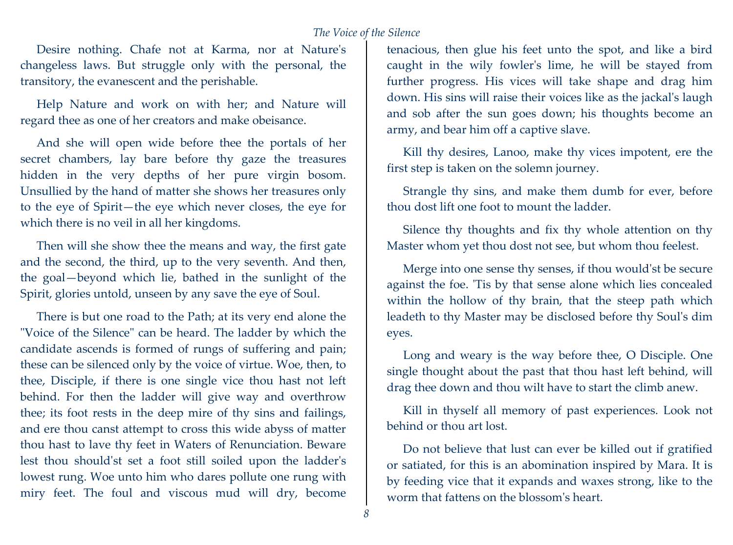Desire nothing. Chafe not at Karma, nor at Nature's changeless laws. But struggle only with the personal, the transitory, the evanescent and the perishable.

Help Nature and work on with her; and Nature will regard thee as one of her creators and make obeisance.

And she will open wide before thee the portals of her secret chambers, lay bare before thy gaze the treasures hidden in the very depths of her pure virgin bosom. Unsullied by the hand of matter she shows her treasures only to the eye of Spirit—the eye which never closes, the eye for which there is no veil in all her kingdoms.

Then will she show thee the means and way, the first gate and the second, the third, up to the very seventh. And then, the goal—beyond which lie, bathed in the sunlight of the Spirit, glories untold, unseen by any save the eye of Soul.

There is but one road to the Path; at its very end alone the "Voice of the Silence" can be heard. The ladder by which the candidate ascends is formed of rungs of suffering and pain; these can be silenced only by the voice of virtue. Woe, then, to thee, Disciple, if there is one single vice thou hast not left behind. For then the ladder will give way and overthrow thee; its foot rests in the deep mire of thy sins and failings, and ere thou canst attempt to cross this wide abyss of matter thou hast to lave thy feet in Waters of Renunciation. Beware lest thou should'st set a foot still soiled upon the ladder's lowest rung. Woe unto him who dares pollute one rung with miry feet. The foul and viscous mud will dry, become

tenacious, then glue his feet unto the spot, and like a bird caught in the wily fowler<sup>ʹ</sup><sup>s</sup> lime, he will be stayed from further progress. His vices will take shape and drag him down. His sins will raise their voices like as the jackal<sup>ʹ</sup><sup>s</sup> laugh and sob after the sun goes down; his thoughts become an army, and bear him off a captive slave.

Kill thy desires, Lanoo, make thy vices impotent, ere the first step is taken on the solemn journey.

Strangle thy sins, and make them dumb for ever, before thou dost lift one foot to mount the ladder.

Silence thy thoughts and fix thy whole attention on thy Master whom ye<sup>t</sup> thou dost not see, but whom thou feelest.

Merge into one sense thy senses, if thou would'st be secure against the foe. Tis by that sense alone which lies concealed within the hollow of thy brain, that the steep path which leadeth to thy Master may be disclosed before thy Soul<sup>ʹ</sup><sup>s</sup> dim eyes.

Long and weary is the way before thee, O Disciple. One single thought about the pas<sup>t</sup> that thou hast left behind, will drag thee down and thou wilt have to start the climb anew.

Kill in thyself all memory of pas<sup>t</sup> experiences. Look not behind or thou art lost.

Do not believe that lust can ever be killed out if gratified or satiated, for this is an abomination inspired by Mara. It is by feeding vice that it expands and waxes strong, like to the worm that fattens on the blossom<sup>ʹ</sup><sup>s</sup> heart.

*8*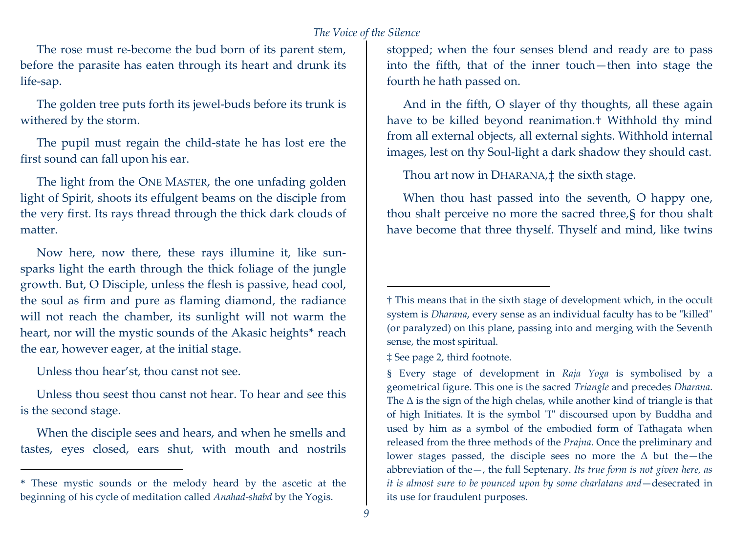The rose must re-become the bud born of its parent stem, before the parasite has eaten through its heart and drunk its life‐sap.

The golden tree puts forth its jewel‐buds before its trunk is withered by the storm.

The pupil must regain the child‐state he has lost ere the first sound can fall upon his ear.

The light from the ONE MASTER, the one unfading golden light of Spirit, shoots its effulgent beams on the disciple from the very first. Its rays thread through the thick dark clouds of matter.

<span id="page-12-1"></span>Now here, now there, these rays illumine it, like sun‐ sparks light the earth through the thick foliage of the jungle growth. But, O Disciple, unless the flesh is passive, head cool, the soul as firm and pure as flaming diamond, the radiance will not reach the chamber, its sunlight will not warm the heart, nor will the mystic sounds of the Akasic heights<sup>[\\*](#page-12-0)</sup> reach the ear, however eager, at the initial stage.

<span id="page-12-2"></span>Unless thou hear'st, thou canst not see.

<span id="page-12-3"></span>Unless thou seest thou canst not hear. To hear and see this is the second stage.

When the disciple sees and hears, and when he smells and tastes, eyes closed, ears shut, with mouth and nostrils stopped; when the four senses blend and ready are to pass into the fifth, that of the inner touch—then into stage the fourth he hath passed on.

And in the fifth, O slayer of thy thoughts, all these again have to be killed beyond reanimation.[†](#page-12-1) Withhold thy mind from all external objects, all external sights. Withhold internal images, lest on thy Soul‐light <sup>a</sup> dark shadow they should cast.

Thou art now in DHARANA,[‡](#page-12-2) the sixth stage.

When thou hast passed into the seventh, O happy one, thou shalt perceive no more the sacred three,[§](#page-12-3) for thou shalt have become that three thyself. Thyself and mind, like twins

‡ See page 2, third footnote.

<span id="page-12-0"></span><sup>\*</sup> These mystic sounds or the melody heard by the ascetic at the beginning of his cycle of meditation called *Anahad‐shabd* by the Yogis.

<sup>†</sup> This means that in the sixth stage of development which, in the occult system is *Dharana*, every sense as an individual faculty has to be "killed" (or paralyzed) on this plane, passing into and merging with the Seventh sense, the most spiritual.

<sup>§</sup> Every stage of development in *Raja Yoga* is symbolised by <sup>a</sup> geometrical figure. This one is the sacred *Triangle* and precedes *Dharana*. The  $\Delta$  is the sign of the high chelas, while another kind of triangle is that of high Initiates. It is the symbol "I" discoursed upon by Buddha and used by him as <sup>a</sup> symbol of the embodied form of Tathagata when released from the three methods of the *Prajna*. Once the preliminary and lower stages passed, the disciple sees no more the  $\Delta$  but the—the abbreviation of the—, the full Septenary. *Its true form is not given here, as it is almost sure to be pounced upon by some charlatans and*—desecrated in its use for fraudulent purposes.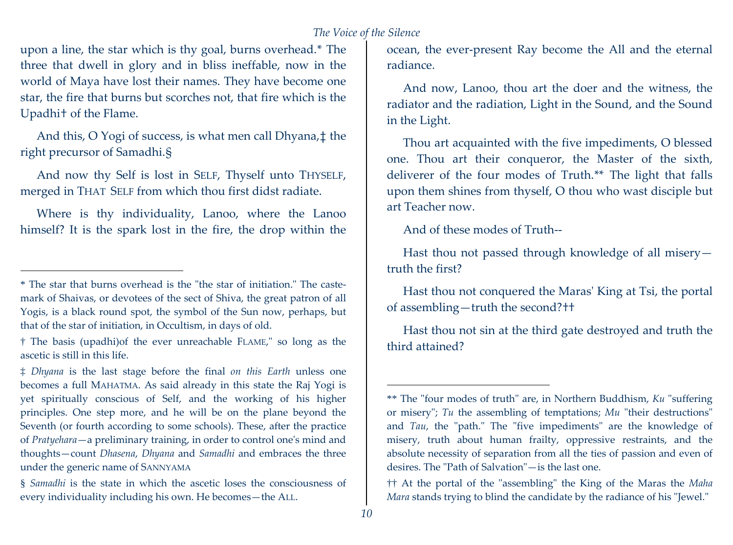upon <sup>a</sup> line, the star which is thy goal, burns overhead.[\\*](#page-13-0) The three that dwell in glory and in bliss ineffable, now in the world of Maya have lost their names. They have become one star, the fire that burns but scorches not, that fire which is the Upadhi[†](#page-13-1) of the Flame.

And this, O Yogi of success, is what men call Dhyana,[‡](#page-13-2) the right precursor of Samadhi.[§](#page-13-3)

And now thy Self is lost in SELF, Thyself unto THYSELF, merged in THAT SELF from which thou first didst radiate.

Where is thy individuality, Lanoo, where the Lanoo himself? It is the spark lost in the fire, the drop within the ocean, the ever‐presen<sup>t</sup> Ray become the All and the eternal radiance.

And now, Lanoo, thou art the doer and the witness, the radiator and the radiation, Light in the Sound, and the Sound in the Light.

Thou art acquainted with the five impediments, O blessed one. Thou art their conqueror, the Master of the sixth, deliverer of the four modes of Truth.[\\*\\*](#page-13-4) The light that falls upon them shines from thyself, O thou who wast disciple but art Teacher now.

And of these modes of Truth‐‐

Hast thou not passed through knowledge of all misery truth the first?

Hast thou not conquered the Marasʹ King at Tsi, the portal of assembling—truth the second?[††](#page-13-3)

Hast thou not sin at the third gate destroyed and truth the third attained?

<span id="page-13-0"></span><sup>\*</sup> The star that burns overhead is the "the star of initiation." The castemark of Shaivas, or devotees of the sect of Shiva, the grea<sup>t</sup> patron of all Yogis, is <sup>a</sup> black round spot, the symbol of the Sun now, perhaps, but that of the star of initiation, in Occultism, in days of old.

<span id="page-13-1"></span><sup>†</sup> The basis (upadhi)of the ever unreachable FLAME,ʺ so long as the ascetic is still in this life.

<span id="page-13-4"></span><span id="page-13-2"></span><sup>‡</sup> *Dhyana* is the last stage before the final *on this Earth* unless one becomes a full MAHATMA. As said already in this state the Raj Yogi is ye<sup>t</sup> spiritually conscious of Self, and the working of his higher principles. One step more, and he will be on the plane beyond the Seventh (or fourth according to some schools). These, after the practice of *Pratyehara*—a preliminary training, in order to control one<sup>ʹ</sup><sup>s</sup> mind and thoughts—count *Dhasena*, *Dhyana* and *Samadhi* and embraces the three under the generic name of SANNYAMA

<span id="page-13-3"></span><sup>§</sup> *Samadhi* is the state in which the ascetic loses the consciousness of every individuality including his own. He becomes—the ALL.

<sup>\*\*</sup> The "four modes of truth" are, in Northern Buddhism, *Ku* "suffering or misery"; *Tu* the assembling of temptations; *Mu* "their destructions" and *Tau,* the "path." The "five impediments" are the knowledge of misery, truth about human frailty, oppressive restraints, and the absolute necessity of separation from all the ties of passion and even of desires. The "Path of Salvation"—is the last one.

<sup>&</sup>lt;sup>††</sup> At the portal of the "assembling" the King of the Maras the *Maha Mara* stands trying to blind the candidate by the radiance of his "Jewel."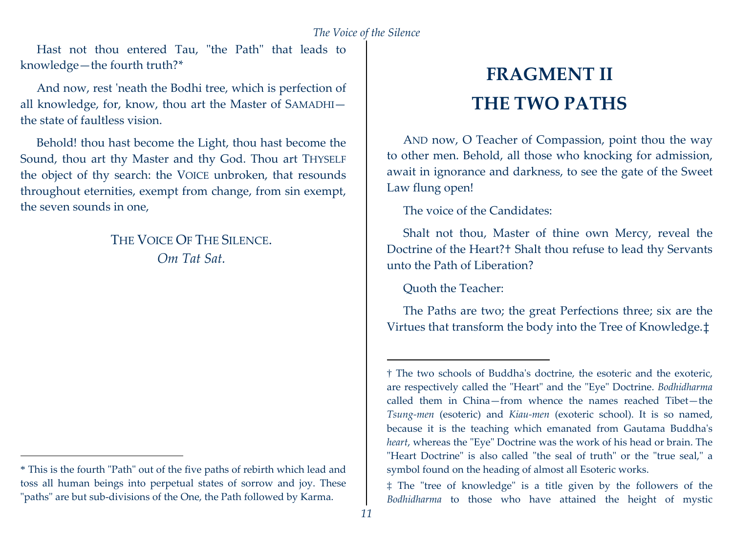<span id="page-14-0"></span>Hast not thou entered Tau, "the Path" that leads to knowledge—the fourth truth?[\\*](#page-14-1)

And now, rest 'neath the Bodhi tree, which is perfection of all knowledge, for, know, thou art the Master of SAMADHI the state of faultless vision.

Behold! thou hast become the Light, thou hast become the Sound, thou art thy Master and thy God. Thou art THYSELF the object of thy search: the VOICE unbroken, that resounds throughout eternities, exemp<sup>t</sup> from change, from sin exempt, the seven sounds in one,

> THE VOICE OF THE SILENCE. *Om Tat Sat.*

## **FRAGMENT II THE TWO PATHS**

AND now, O Teacher of Compassion, point thou the way to other men. Behold, all those who knocking for admission, await in ignorance and darkness, to see the gate of the Sweet Law flung open!

The voice of the Candidates:

Shalt not thou, Master of thine own Mercy, reveal the Doctrine of the Heart?[†](#page-14-2) Shalt thou refuse to lead thy Servants unto the Path of Liberation?

Quoth the Teacher:

The Paths are two; the grea<sup>t</sup> Perfections three; six are the Virtues that transform the body into the Tree of Knowledge.[‡](#page-14-3)

<span id="page-14-3"></span><span id="page-14-2"></span><span id="page-14-1"></span><sup>\*</sup> This is the fourth "Path" out of the five paths of rebirth which lead and toss all human beings into perpetual states of sorrow and joy. These "paths" are but sub-divisions of the One, the Path followed by Karma.

<sup>†</sup> The two schools of Buddha<sup>ʹ</sup><sup>s</sup> doctrine, the esoteric and the exoteric, are respectively called the "Heart" and the "Eye" Doctrine. *Bodhidharma* called them in China—from whence the names reached Tibet—the *Tsung‐men* (esoteric) and *Kiau‐men* (exoteric school). It is so named, because it is the teaching which emanated from Gautama Buddha<sup>ʹ</sup><sup>s</sup> *heart*, whereas the "Eye" Doctrine was the work of his head or brain. The "Heart Doctrine" is also called "the seal of truth" or the "true seal," a symbol found on the heading of almost all Esoteric works.

 $\ddagger$  The "tree of knowledge" is a title given by the followers of the *Bodhidharma* to those who have attained the height of mystic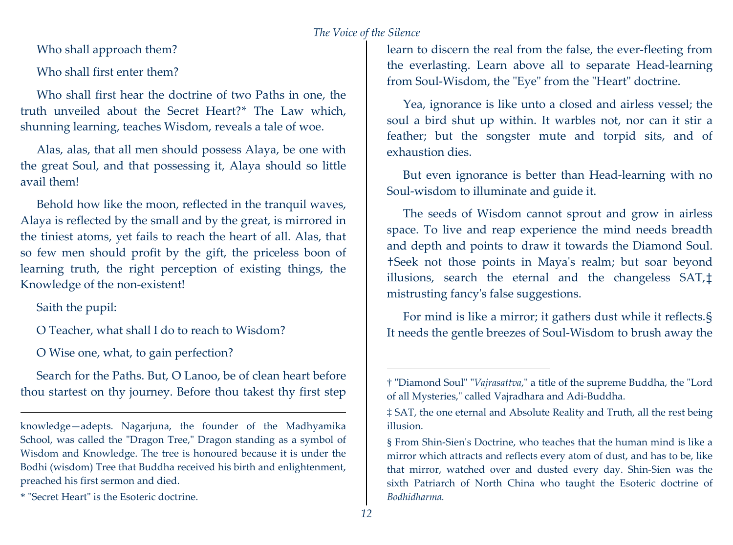Who shall approach them?

Who shall first enter them?

Who shall first hear the doctrine of two Paths in one, the truth unveiled about the Secret Heart?[\\*](#page-15-0) The Law which, shunning learning, teaches Wisdom, reveals a tale of woe.

Alas, alas, that all men should possess Alaya, be one with the grea<sup>t</sup> Soul, and that possessing it, Alaya should so little avail them!

Behold how like the moon, reflected in the tranquil waves, Alaya is reflected by the small and by the great, is mirrored in the tiniest atoms, ye<sup>t</sup> fails to reach the heart of all. Alas, that so few men should profit by the gift, the priceless boon of learning truth, the right perception of existing things, the Knowledge of the non-existent!

Saith the pupil:

O Teacher, what shall I do to reach to Wisdom?

O Wise one, what, to gain perfection?

<span id="page-15-1"></span>Search for the Paths. But, O Lanoo, be of clean heart before thou startest on thy journey. Before thou takest thy first step learn to discern the real from the false, the ever‐fleeting from the everlasting. Learn above all to separate Head‐learning from Soul-Wisdom, the "Eye" from the "Heart" doctrine.

Yea, ignorance is like unto a closed and airless vessel; the soul a bird shut up within. It warbles not, nor can it stir afeather; but the songster mute and torpid sits, and of exhaustion dies.

But even ignorance is better than Head‐learning with no Soul‐wisdom to illuminate and guide it.

The seeds of Wisdom cannot sprou<sup>t</sup> and grow in airless space. To live and reap experience the mind needs breadth and depth and points to draw it towards the Diamond Soul. [†](#page-15-1)Seek not those points in Maya<sup>ʹ</sup><sup>s</sup> realm; but soar beyond illusions, search the eternal and the changeless SAT,[‡](#page-15-2) mistrusting fancy<sup>ʹ</sup><sup>s</sup> false suggestions.

For mind is like a mirror; it gathers dust while it reflects. [§](#page-15-3) It needs the gentle breezes of Soul‐Wisdom to brush away the

<span id="page-15-3"></span><span id="page-15-2"></span>knowledge—adepts. Nagarjuna, the founder of the Madhyamika School, was called the "Dragon Tree," Dragon standing as a symbol of Wisdom and Knowledge. The tree is honoured because it is under the Bodhi (wisdom) Tree that Buddha received his birth and enlightenment, preached his first sermon and died.

<span id="page-15-0"></span><sup>\*</sup> ʺSecret Heartʺ is the Esoteric doctrine.

 $\dagger$  "Diamond Soul" "Vajrasattva," a title of the supreme Buddha, the "Lord of all Mysteries," called Vajradhara and Adi-Buddha.

<sup>‡</sup> SAT, the one eternal and Absolute Reality and Truth, all the rest being illusion.

<sup>§</sup> From Shin‐Sien<sup>ʹ</sup><sup>s</sup> Doctrine, who teaches that the human mind is like <sup>a</sup> mirror which attracts and reflects every atom of dust, and has to be, like that mirror, watched over and dusted every day. Shin‐Sien was the sixth Patriarch of North China who taught the Esoteric doctrine of *Bodhidharma.*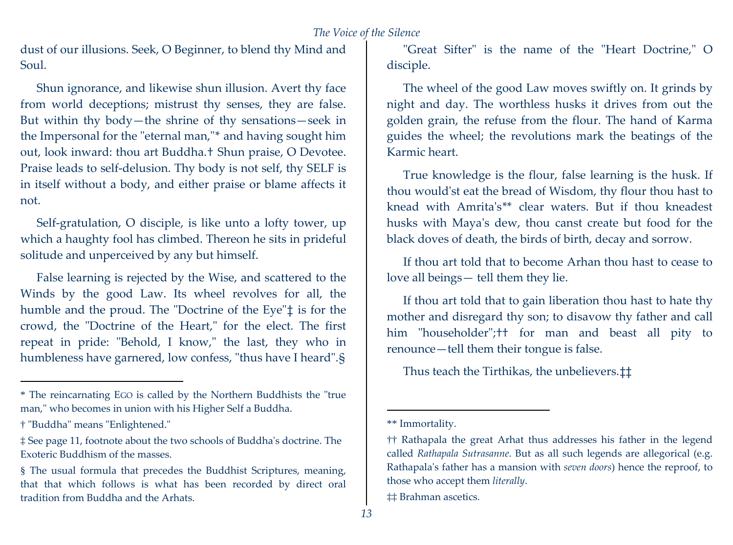dust of our illusions. Seek, O Beginner, to blend thy Mind and Soul.

Shun ignorance, and likewise shun illusion. Avert thy face from world deceptions; mistrust thy senses, they are false. But within thy body—the shrine of thy sensations—seek in the Impersonal for the "eternal man,"[\\*](#page-16-0) and having sought him out, look inward: thou art Buddha.[†](#page-16-1) Shun praise, O Devotee. Praise leads to self‐delusion. Thy body is not self, thy SELF is in itself without <sup>a</sup> body, and either praise or blame affects it not.

Self-gratulation, O disciple, is like unto a lofty tower, up which <sup>a</sup> haughty fool has climbed. Thereon he sits in prideful solitude and unperceived by any but himself.

False learning is rejected by the Wise, and scattered to the Winds by the good Law. Its wheel revolves for all, the humble and the proud. The "Doctrine of the Eye"[‡](#page-16-2) is for the crowd, the "Doctrine of the Heart," for the elect. The first repeat in pride: "Behold, I know," the last, they who in humbleness have garnered, low confess, "thus have I heard".[§](#page-16-3)

"Great Sifter" is the name of the "Heart Doctrine," O disciple.

The wheel of the good Law moves swiftly on. It grinds by night and day. The worthless husks it drives from out the golden grain, the refuse from the flour. The hand of Karma guides the wheel; the revolutions mark the beatings of the Karmic heart.

True knowledge is the flour, false learning is the husk. If thou would<sup>ʹ</sup>st eat the bread of Wisdom, thy flour thou hast to knead with Amrita<sup>ʹ</sup>s[\\*\\*](#page-16-4) clear waters. But if thou kneadest husks with Maya<sup>ʹ</sup><sup>s</sup> dew, thou canst create but food for the black doves of death, the birds of birth, decay and sorrow.

If thou art told that to become Arhan thou hast to cease to love all beings— tell them they lie.

If thou art told that to gain liberation thou hast to hate thy mother and disregard thy son; to disavow thy father and call him "householder";<sup>[††](#page-16-5)</sup> for man and beast all pity to renounce—tell them their tongue is false.

Thus teach the Tirthikas, the unbelievers.[‡‡](#page-16-6)

<span id="page-16-0"></span> $^{\ast}$  The reincarnating EGO is called by the Northern Buddhists the "true man," who becomes in union with his Higher Self a Buddha.

<span id="page-16-4"></span><span id="page-16-1"></span> $\dagger$  "Buddha" means "Enlightened."

<span id="page-16-5"></span><span id="page-16-2"></span><sup>‡</sup> See page 11, footnote about the two schools of Buddha<sup>ʹ</sup><sup>s</sup> doctrine. The Exoteric Buddhism of the masses.

<span id="page-16-6"></span><span id="page-16-3"></span><sup>§</sup> The usual formula that precedes the Buddhist Scriptures, meaning, that that which follows is what has been recorded by direct oral tradition from Buddha and the Arhats.

<sup>\*\*</sup> Immortality.

<sup>††</sup> Rathapala the grea<sup>t</sup> Arhat thus addresses his father in the legend called *Rathapala Sutrasanne*. But as all such legends are allegorical (e.g. Rathapala<sup>ʹ</sup><sup>s</sup> father has <sup>a</sup> mansion with *seven doors*) hence the reproof, to those who accep<sup>t</sup> them *literally*.

<sup>‡‡</sup> Brahman ascetics.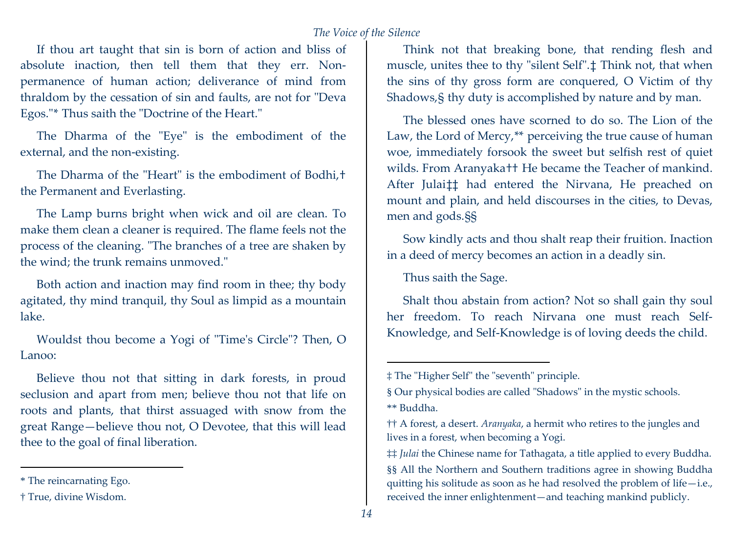If thou art taught that sin is born of action and bliss of absolute inaction, then tell them that they err. Non‐ permanence of human action; deliverance of mind from thraldom by the cessation of sin and faults, are not for "Deva Egos."[\\*](#page-17-0) Thus saith the "Doctrine of the Heart."

The Dharma of the "Eye" is the embodiment of the external, and the non-existing.

The Dharma of the "Heart" is the embodiment of Bodhi, <del>I</del> the Permanent and Everlasting.

The Lamp burns bright when wick and oil are clean. To make them clean <sup>a</sup> cleaner is required. The flame feels not the process of the cleaning. "The branches of a tree are shaken by the wind; the trunk remains unmoved."

Both action and inaction may find room in thee; thy body agitated, thy mind tranquil, thy Soul as limpid as <sup>a</sup> mountain lake.

Wouldst thou become a Yogi of "Time's Circle"? Then, O Lanoo:

<span id="page-17-5"></span><span id="page-17-4"></span><span id="page-17-3"></span><span id="page-17-2"></span>Believe thou not that sitting in dark forests, in proud seclusion and apar<sup>t</sup> from men; believe thou not that life on roots and plants, that thirst assuaged with snow from the grea<sup>t</sup> Range—believe thou not, O Devotee, that this will lead thee to the goal of final liberation.

Think not that breaking bone, that rending flesh and muscle, unites thee to thy "silent Self".<sup>†</sup> Think not, that when the sins of thy gross form are conquered, O Victim of thy Shadows,[§](#page-17-3) thy duty is accomplished by nature and by man.

The blessed ones have scorned to do so. The Lion of the Law, the Lord of Mercy,<sup>[\\*\\*](#page-17-4)</sup> perceiving the true cause of human woe, immediately forsook the sweet but selfish rest of quiet wilds. From Aranyaka[††](#page-17-5) He became the Teacher of mankind. After Julai[‡‡](#page-17-6) had entered the Nirvana, He preached on mount and plain, and held discourses in the cities, to Devas, men and gods.[§§](#page-17-7)

Sow kindly acts and thou shalt reap their fruition. Inaction in <sup>a</sup> deed of mercy becomes an action in <sup>a</sup> deadly sin.

Thus saith the Sage.

Shalt thou abstain from action? Not so shall gain thy soul her freedom. To reach Nirvana one must reach Self‐ Knowledge, and Self‐Knowledge is of loving deeds the child.

<span id="page-17-7"></span><span id="page-17-6"></span><span id="page-17-0"></span><sup>\*</sup> The reincarnating Ego.

<span id="page-17-1"></span><sup>†</sup> True, divine Wisdom.

 $\ddagger$  The "Higher Self" the "seventh" principle.

<sup>§</sup> Our physical bodies are called "Shadows" in the mystic schools. \*\* Buddha.

<sup>††</sup> A forest, <sup>a</sup> desert. *Aranyaka*, <sup>a</sup> hermit who retires to the jungles and lives in <sup>a</sup> forest, when becoming <sup>a</sup> Yogi.

<sup>‡‡</sup> *Julai* the Chinese name for Tathagata, <sup>a</sup> title applied to every Buddha. §§ All the Northern and Southern traditions agree in showing Buddha quitting his solitude as soon as he had resolved the problem of life—i.e., received the inner enlightenment—and teaching mankind publicly.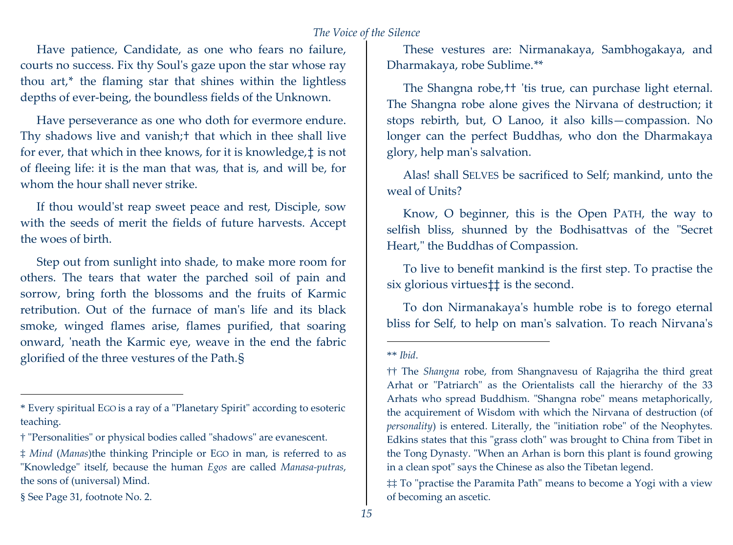Have patience, Candidate, as one who fears no failure, courts no success. Fix thy Soul<sup>ʹ</sup><sup>s</sup> gaze upon the star whose ray thou art,[\\*](#page-18-0) the flaming star that shines within the lightless depths of ever-being, the boundless fields of the Unknown.

Have perseverance as one who doth for evermore endure. Thy shadows live and vanish;[†](#page-18-1) that which in thee shall live for ever, that which in thee knows, for it is knowledge,[‡](#page-18-2) is not of fleeing life: it is the man that was, that is, and will be, for whom the hour shall never strike.

If thou would<sup>ʹ</sup>st reap sweet peace and rest, Disciple, sow with the seeds of merit the fields of future harvests. Accept the woes of birth.

Step out from sunlight into shade, to make more room for others. The tears that water the parched soil of pain and sorrow, bring forth the blossoms and the fruits of Karmic retribution. Out of the furnace of man<sup>ʹ</sup><sup>s</sup> life and its black smoke, winged flames arise, flames purified, that soaring onward, 'neath the Karmic eye, weave in the end the fabric glorified of the three vestures of the Path. [§](#page-18-3)

These vestures are: Nirmanakaya, Sambhogakaya, and Dharmakaya, robe Sublime.[\\*\\*](#page-18-4)

The Shangna robe,[††](#page-18-5) <sup>ʹ</sup>tis true, can purchase light eternal. The Shangna robe alone gives the Nirvana of destruction; it stops rebirth, but, O Lanoo, it also kills—compassion. No longer can the perfect Buddhas, who don the Dharmakaya glory, help man<sup>ʹ</sup><sup>s</sup> salvation.

Alas! shall SELVES be sacrificed to Self; mankind, unto the weal of Units?

Know, O beginner, this is the Open PATH, the way to selfish bliss, shunned by the Bodhisattvas of the "Secret Heart," the Buddhas of Compassion.

To live to benefit mankind is the first step. To practise the six glorious virtues[‡‡](#page-18-6) is the second.

To don Nirmanakaya<sup>ʹ</sup><sup>s</sup> humble robe is to forego eternal bliss for Self, to help on man's salvation. To reach Nirvana's

<span id="page-18-5"></span><span id="page-18-4"></span><span id="page-18-0"></span> $\,^*$  Every spiritual EGO is a ray of a "Planetary Spirit" according to esoteric teaching.

<span id="page-18-1"></span><sup>†</sup> <sup>ʺ</sup>Personalitiesʺ or physical bodies called <sup>ʺ</sup>shadowsʺ are evanescent.

<span id="page-18-2"></span><sup>‡</sup> *Mind* (*Manas*)the thinking Principle or EGO in man, is referred to as <sup>ʺ</sup>Knowledgeʺ itself, because the human *Egos* are called *Manasa‐putras*, the sons of (universal) Mind.

<span id="page-18-6"></span><span id="page-18-3"></span><sup>§</sup> See Page 31, footnote No. 2.

<sup>\*\*</sup> *Ibid*.

<sup>††</sup> The *Shangna* robe, from Shangnavesu of Rajagriha the third grea<sup>t</sup> Arhat or "Patriarch" as the Orientalists call the hierarchy of the 33 Arhats who spread Buddhism. "Shangna robe" means metaphorically, the acquirement of Wisdom with which the Nirvana of destruction (of *personality*) is entered. Literally, the "initiation robe" of the Neophytes. Edkins states that this "grass cloth" was brought to China from Tibet in the Tong Dynasty. "When an Arhan is born this plant is found growing in a clean spot" says the Chinese as also the Tibetan legend.

<sup>&</sup>lt;sup>‡‡</sup> To "practise the Paramita Path" means to become a Yogi with a view of becoming an ascetic.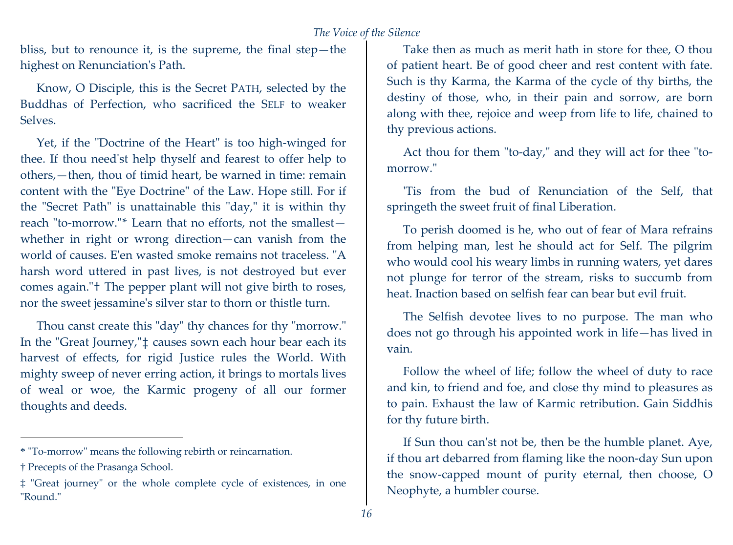bliss, but to renounce it, is the supreme, the final step—the highest on Renunciation's Path.

Know, O Disciple, this is the Secret PATH, selected by the Buddhas of Perfection, who sacrificed the SELF to weaker Selves.

Yet, if the "Doctrine of the Heart" is too high-winged for thee. If thou need<sup>ʹ</sup>st help thyself and fearest to offer help to others,—then, thou of timid heart, be warned in time: remain content with the "Eye Doctrine" of the Law. Hope still. For if the "Secret Path" is unattainable this "day," it is within thy reach "to-morrow."[\\*](#page-19-0) Learn that no efforts, not the smallestwhether in right or wrong direction—can vanish from the world of causes. E'en wasted smoke remains not traceless. "A harsh word uttered in pas<sup>t</sup> lives, is not destroyed but ever comes again."[†](#page-19-1) The pepper plant will not give birth to roses, nor the sweet jessamine<sup>ʹ</sup><sup>s</sup> silver star to thorn or thistle turn.

Thou canst create this "day" thy chances for thy "morrow." In the "Great Journey,"[‡](#page-19-2) causes sown each hour bear each its harvest of effects, for rigid Justice rules the World. With mighty sweep of never erring action, it brings to mortals lives of weal or woe, the Karmic progeny of all our former thoughts and deeds.

Take then as much as merit hath in store for thee, O thou of patient heart. Be of good cheer and rest content with fate. Such is thy Karma, the Karma of the cycle of thy births, the destiny of those, who, in their pain and sorrow, are born along with thee, rejoice and weep from life to life, chained to thy previous actions.

Act thou for them "to-day," and they will act for thee "tomorrow."

ʹTis from the bud of Renunciation of the Self, that springeth the sweet fruit of final Liberation.

To perish doomed is he, who out of fear of Mara refrains from helping man, lest he should act for Self. The pilgrim who would cool his weary limbs in running waters, ye<sup>t</sup> dares not plunge for terror of the stream, risks to succumb from heat. Inaction based on selfish fear can bear but evil fruit.

The Selfish devotee lives to no purpose. The man who does not go through his appointed work in life—has lived in vain.

Follow the wheel of life; follow the wheel of duty to race and kin, to friend and foe, and close thy mind to pleasures as to pain. Exhaust the law of Karmic retribution. Gain Siddhis for thy future birth.

If Sun thou can'st not be, then be the humble planet. Aye, if thou art debarred from flaming like the noon‐day Sun upon the snow‐capped mount of purity eternal, then choose, O Neophyte, a humbler course.

<span id="page-19-0"></span><sup>\*</sup> <sup>ʺ</sup>To‐morrowʺ means the following rebirth or reincarnation.

<span id="page-19-1"></span><sup>†</sup> Precepts of the Prasanga School.

<span id="page-19-2"></span> $\ddagger$  "Great journey" or the whole complete cycle of existences, in one "Round."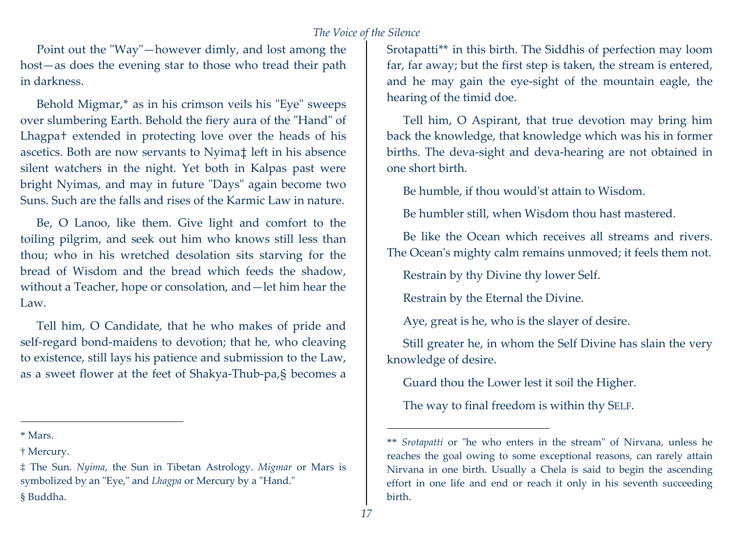Point out the "Way"—however dimly, and lost among the host—as does the evening star to those who tread their path in darkness.

Behold Migmar,[\\*](#page-20-0) as in his crimson veils his "Eye" sweeps over slumbering Earth. Behold the fiery aura of the "Hand" of Lhagpa[†](#page-20-1) extended in protecting love over the heads of his ascetics. Both are now servants to Nyima[‡](#page-20-2) left in his absence silent watchers in the night. Yet both in Kalpas pas<sup>t</sup> were bright Nyimas, and may in future "Days" again become two Suns. Such are the falls and rises of the Karmic Law in nature.

Be, O Lanoo, like them. Give light and comfort to the toiling pilgrim, and seek out him who knows still less than thou; who in his wretched desolation sits starving for the bread of Wisdom and the bread which feeds the shadow, without a Teacher, hope or consolation, and—let him hear the Law.

Tell him, O Candidate, that he who makes of pride and self-regard bond-maidens to devotion; that he, who cleaving to existence, still lays his patience and submission to the Law, as a sweet flower at the feet of Shakya‐Thub‐pa,[§](#page-20-3) becomes <sup>a</sup>

Srotapatti[\\*\\*](#page-20-4) in this birth. The Siddhis of perfection may loom far, far away; but the first step is taken, the stream is entered, and he may gain the eye‐sight of the mountain eagle, the hearing of the timid doe.

Tell him, O Aspirant, that true devotion may bring him back the knowledge, that knowledge which was his in former births. The deva‐sight and deva‐hearing are not obtained in one short birth.

Be humble, if thou would<sup>ʹ</sup>st attain to Wisdom.

Be humbler still, when Wisdom thou hast mastered.

Be like the Ocean which receives all streams and rivers. The Ocean<sup>ʹ</sup><sup>s</sup> mighty calm remains unmoved; it feels them not.

Restrain by thy Divine thy lower Self.

Restrain by the Eternal the Divine.

Aye, grea<sup>t</sup> is he, who is the slayer of desire.

Still greater he, in whom the Self Divine has slain the very knowledge of desire.

Guard thou the Lower lest it soil the Higher.

The way to final freedom is within thy SELF.

<span id="page-20-4"></span><span id="page-20-0"></span><sup>\*</sup> Mars.

<span id="page-20-1"></span><sup>†</sup> Mercury.

<span id="page-20-3"></span><span id="page-20-2"></span><sup>‡</sup> The Sun. *Nyima*, the Sun in Tibetan Astrology. *Migmar* or Mars is symbolized by an "Eye," and *Lhagpa* or Mercury by a "Hand." § Buddha.

<sup>\*\*</sup> *Srotapatti* or "he who enters in the stream" of Nirvana, unless he reaches the goal owing to some exceptional reasons, can rarely attain Nirvana in one birth. Usually <sup>a</sup> Chela is said to begin the ascending effort in one life and end or reach it only in his seventh succeeding birth.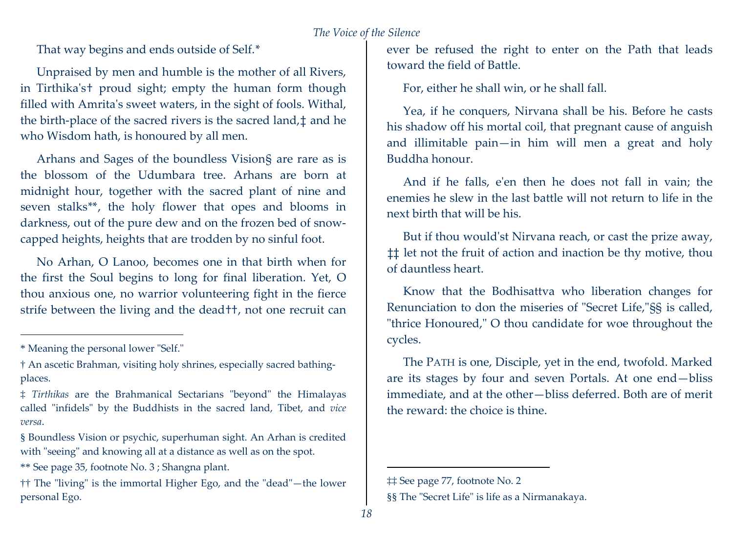That way begins and ends outside of Self.[\\*](#page-21-0)

Unpraised by men and humble is the mother of all Rivers, in Tirthika<sup>ʹ</sup>s[†](#page-21-1) proud sight; empty the human form though filled with Amrita's sweet waters, in the sight of fools. Withal, the birth‐place of the sacred rivers is the sacred land,[‡](#page-21-2) and he who Wisdom hath, is honoured by all men.

Arhans and Sages of the boundless Vision [§](#page-21-3) are rare as is the blossom of the Udumbara tree. Arhans are born at midnight hour, together with the sacred plant of nine and seven stalks[\\*\\*](#page-21-4), the holy flower that opes and blooms in darkness, out of the pure dew and on the frozen bed of snowcapped heights, heights that are trodden by no sinful foot.

No Arhan, O Lanoo, becomes one in that birth when for the first the Soul begins to long for final liberation. Yet, O thou anxious one, no warrior volunteering fight in the fierce strife between the living and the dead[††](#page-21-5), not one recruit can ever be refused the right to enter on the Path that leads toward the field of Battle.

For, either he shall win, or he shall fall.

Yea, if he conquers, Nirvana shall be his. Before he casts his shadow off his mortal coil, that pregnan<sup>t</sup> cause of anguish and illimitable pain—in him will men a grea<sup>t</sup> and holy Buddha honour.

And if he falls, <sup>e</sup><sup>ʹ</sup>en then he does not fall in vain; the enemies he slew in the last battle will not return to life in the next birth that will be his.

But if thou would'st Nirvana reach, or cast the prize away, [‡‡](#page-21-6) let not the fruit of action and inaction be thy motive, thou of dauntless heart.

Know that the Bodhisattva who liberation changes for Renunciation to don the miseries of "Secret Life,"[§§](#page-21-7) is called, "thrice Honoured," O thou candidate for woe throughout the cycles.

The PATH is one, Disciple, ye<sup>t</sup> in the end, twofold. Marked are its stages by four and seven Portals. At one end—bliss immediate, and at the other—bliss deferred. Both are of merit the reward: the choice is thine.

<span id="page-21-0"></span><sup>\*</sup> Meaning the personal lower "Self."

<span id="page-21-1"></span><sup>†</sup> An ascetic Brahman, visiting holy shrines, especially sacred bathing‐ places.

<span id="page-21-2"></span> $\ddagger$  *Tirthikas* are the Brahmanical Sectarians "beyond" the Himalayas called "infidels" by the Buddhists in the sacred land, Tibet, and *vice versa*.

<span id="page-21-3"></span><sup>§</sup> Boundless Vision or psychic, superhuman sight. An Arhan is credited with "seeing" and knowing all at a distance as well as on the spot.

<span id="page-21-4"></span><sup>\*\*</sup> See page 35, footnote No. 3 ; Shangna plant.

<span id="page-21-7"></span><span id="page-21-6"></span><span id="page-21-5"></span><sup>&</sup>lt;sup>††</sup> The "living" is the immortal Higher Ego, and the "dead"—the lower personal Ego.

<sup>‡‡</sup> See page 77, footnote No. <sup>2</sup>

<sup>§§</sup> The "Secret Life" is life as a Nirmanakaya.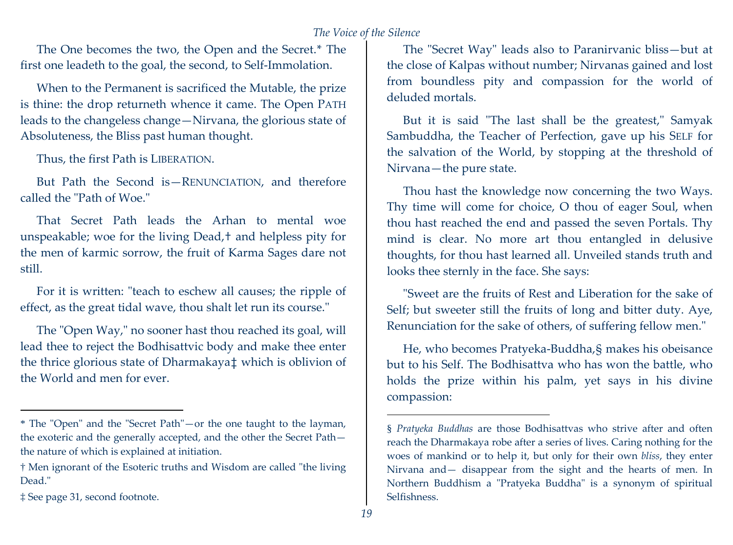The One becomes the two, the Open and the Secret.[\\*](#page-22-0) The first one leadeth to the goal, the second, to Self‐Immolation.

When to the Permanent is sacrificed the Mutable, the prize is thine: the drop returneth whence it came. The Open PATH leads to the changeless change—Nirvana, the glorious state of Absoluteness, the Bliss pas<sup>t</sup> human thought.

Thus, the first Path is LIBERATION.

But Path the Second is—RENUNCIATION, and therefore called the "Path of Woe."

That Secret Path leads the Arhan to mental woe unspeakable; woe for the living Dead,[†](#page-22-1) and helpless pity for the men of karmic sorrow, the fruit of Karma Sages dare not still.

For it is written: "teach to eschew all causes; the ripple of effect, as the great tidal wave, thou shalt let run its course."

The "Open Way," no sooner hast thou reached its goal, will lead thee to reject the Bodhisattvic body and make thee enter the thrice glorious state of Dharmakaya[‡](#page-22-2) which is oblivion of the World and men for ever.

The "Secret Way" leads also to Paranirvanic bliss-but at the close of Kalpas without number; Nirvanas gained and lost from boundless pity and compassion for the world of deluded mortals.

But it is said "The last shall be the greatest," Samyak Sambuddha, the Teacher of Perfection, gave up his SELF for the salvation of the World, by stopping at the threshold of Nirvana—the pure state.

Thou hast the knowledge now concerning the two Ways. Thy time will come for choice, O thou of eager Soul, when thou hast reached the end and passed the seven Portals. Thy mind is clear. No more art thou entangled in delusive thoughts, for thou hast learned all. Unveiled stands truth and looks thee sternly in the face. She says:

ʺSweet are the fruits of Rest and Liberation for the sake of Self; but sweeter still the fruits of long and bitter duty. Aye, Renunciation for the sake of others, of suffering fellow men."

He, who becomes Pratyeka‐Buddha,[§](#page-22-3) makes his obeisance but to his Self. The Bodhisattva who has won the battle, who holds the prize within his palm, ye<sup>t</sup> says in his divine compassion:

<span id="page-22-3"></span><span id="page-22-0"></span><sup>\*</sup> The "Open" and the "Secret Path"—or the one taught to the layman, the exoteric and the generally accepted, and the other the Secret Path the nature of which is explained at initiation.

<span id="page-22-1"></span><sup>&</sup>lt;sup>†</sup> Men ignorant of the Esoteric truths and Wisdom are called "the living" Dead."

<span id="page-22-2"></span><sup>‡</sup> See page 31, second footnote.

<sup>§</sup> *Pratyeka Buddhas* are those Bodhisattvas who strive after and often reach the Dharmakaya robe after <sup>a</sup> series of lives. Caring nothing for the woes of mankind or to help it, but only for their own *bliss*, they enter Nirvana and— disappear from the sight and the hearts of men. In Northern Buddhism a "Pratyeka Buddha" is a synonym of spiritual Selfishness.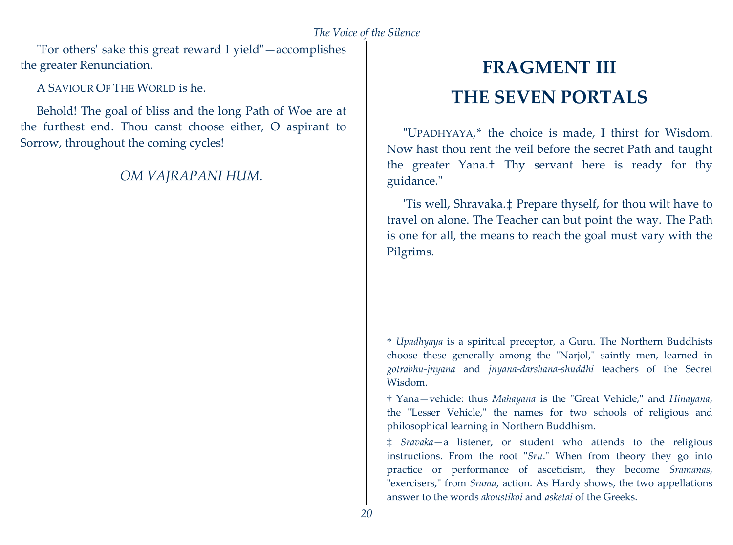<span id="page-23-0"></span>ʺFor othersʹ sake this grea<sup>t</sup> reward I yield<sup>ʺ</sup>—accomplishes the greater Renunciation.

A SAVIOUR OF THE WORLD is he.

Behold! The goal of bliss and the long Path of Woe are at the furthest end. Thou canst choose either, O aspirant to Sorrow, throughout the coming cycles!

#### <span id="page-23-3"></span><span id="page-23-2"></span><span id="page-23-1"></span>*OM VAJRAPANI HUM*.

## **FRAGMENT III THE SEVEN PORTALS**

<sup>ʺ</sup>UPADHYAYA,[\\*](#page-23-1) the choice is made, I thirst for Wisdom. Now hast thou rent the veil before the secret Path and taught the greater Yana.[†](#page-23-2) Thy servant here is ready for thy guidance."

ʹTis well, Shravaka.[‡](#page-23-3) Prepare thyself, for thou wilt have to travel on alone. The Teacher can but point the way. The Path is one for all, the means to reach the goal must vary with the Pilgrims.

<sup>\*</sup> *Upadhyaya* is <sup>a</sup> spiritual preceptor, <sup>a</sup> Guru. The Northern Buddhists choose these generally among the "Narjol," saintly men, learned in *gotrabhu‐jnyana* and *jnyana‐darshana‐shuddhi* teachers of the Secret Wisdom.

<sup>†</sup> Yana—vehicle: thus *Mahayana* is the <sup>ʺ</sup>Great Vehicle,ʺ and *Hinayana*, the "Lesser Vehicle," the names for two schools of religious and philosophical learning in Northern Buddhism.

<sup>‡</sup> *Sravaka*—a listener, or student who attends to the religious instructions. From the root "*Sru*." When from theory they go into practice or performance of asceticism, they become *Sramanas*, "exercisers," from *Srama*, action. As Hardy shows, the two appellations answer to the words *akoustikoi* and *asketai* of the Greeks.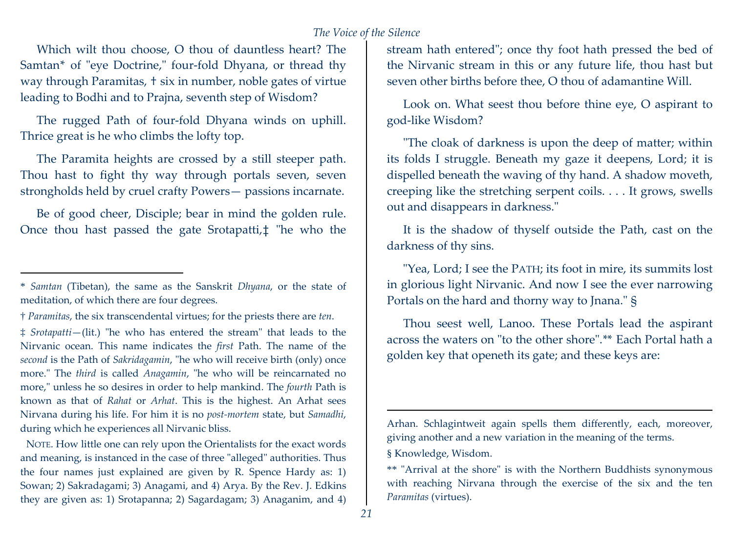Which wilt thou choose, O thou of dauntless heart? The Samtan[\\*](#page-24-0) of "eye Doctrine," four-fold Dhyana, or thread thy way through Paramitas, [†](#page-24-1) six in number, noble gates of virtue leading to Bodhi and to Prajna, seventh step of Wisdom?

The rugged Path of four‐fold Dhyana winds on uphill. Thrice grea<sup>t</sup> is he who climbs the lofty top.

The Paramita heights are crossed by <sup>a</sup> still steeper path. Thou hast to fight thy way through portals seven, seven strongholds held by cruel crafty Powers— passions incarnate.

Be of good cheer, Disciple; bear in mind the golden rule. Once thou hast passed the gate Srotapatti,[‡](#page-24-2) "he who the

<span id="page-24-1"></span>† *Paramitas*, the six transcendental virtues; for the priests there are *ten*.

<span id="page-24-2"></span> $\ddagger$  *Srotapatti*—(lit.) "he who has entered the stream" that leads to the Nirvanic ocean. This name indicates the *first* Path. The name of the *second* is the Path of *Sakridagamin*, <sup>ʺ</sup>he who will receive birth (only) once more.ʺ The *third* is called *Anagamin*, <sup>ʺ</sup>he who will be reincarnated no more," unless he so desires in order to help mankind. The *fourth* Path is known as that of *Rahat* or *Arhat*. This is the highest. An Arhat sees Nirvana during his life. For him it is no *post‐mortem* state, but *Samadhi*, during which he experiences all Nirvanic bliss.

<span id="page-24-4"></span><span id="page-24-3"></span>NOTE. How little one can rely upon the Orientalists for the exact words and meaning, is instanced in the case of three "alleged" authorities. Thus the four names just explained are given by R. Spence Hardy as: 1) Sowan; 2) Sakradagami; 3) Anagami, and 4) Arya. By the Rev. J. Edkins they are given as: 1) Srotapanna; 2) Sagardagam; 3) Anaganim, and 4)

stream hath entered"; once thy foot hath pressed the bed of the Nirvanic stream in this or any future life, thou hast but seven other births before thee, O thou of adamantine Will.

Look on. What seest thou before thine eye, O aspirant to god‐like Wisdom?

ʺThe cloak of darkness is upon the deep of matter; within its folds I struggle. Beneath my gaze it deepens, Lord; it is dispelled beneath the waving of thy hand. A shadow moveth, creeping like the stretching serpen<sup>t</sup> coils. . . . It grows, swells out and disappears in darkness."

It is the shadow of thyself outside the Path, cast on the darkness of thy sins.

<sup>ʺ</sup>Yea, Lord; I see the PATH; its foot in mire, its summits lost in glorious light Nirvanic. And now I see the ever narrowing Portals on the hard and thorny way to Jnana." [§](#page-24-3)

Thou seest well, Lanoo. These Portals lead the aspirant across the waters on "to the other shore".[\\*\\*](#page-24-4) Each Portal hath a golden key that openeth its gate; and these keys are:

Arhan. Schlagintweit again spells them differently, each, moreover, giving another and <sup>a</sup> new variation in the meaning of the terms.

§ Knowledge, Wisdom.

<span id="page-24-0"></span><sup>\*</sup> *Samtan* (Tibetan), the same as the Sanskrit *Dhyana*, or the state of meditation, of which there are four degrees.

<sup>\*\* &</sup>quot;Arrival at the shore" is with the Northern Buddhists synonymous with reaching Nirvana through the exercise of the six and the ten *Paramitas* (virtues).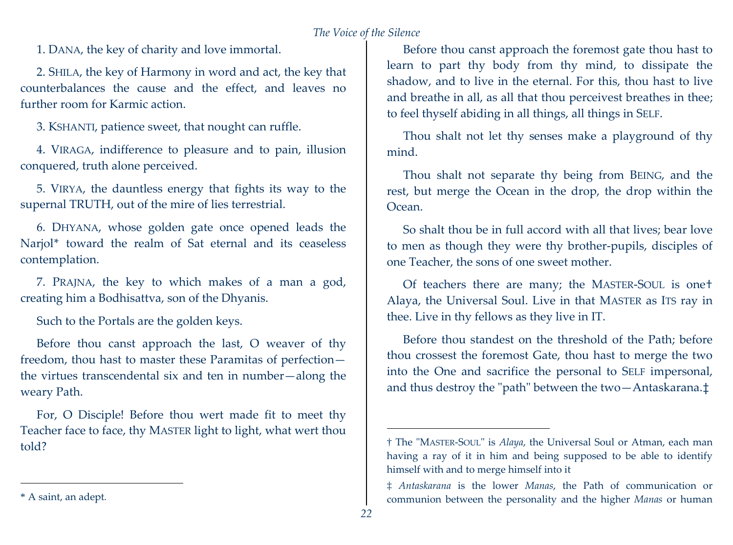1. DANA, the key of charity and love immortal.

2. SHILA, the key of Harmony in word and act, the key that counterbalances the cause and the effect, and leaves no further room for Karmic action.

3. KSHANTI, patience sweet, that nought can ruffle.

4. VIRAGA, indifference to pleasure and to pain, illusion conquered, truth alone perceived.

5. VIRYA, the dauntless energy that fights its way to the supernal TRUTH, out of the mire of lies terrestrial.

6. DHYANA, whose golden gate once opened leads the Narjol[\\*](#page-25-0) toward the realm of Sat eternal and its ceaseless contemplation.

7. PRAJNA, the key to which makes of a man a god, creating him a Bodhisattva, son of the Dhyanis.

Such to the Portals are the golden keys.

Before thou canst approach the last, O weaver of thy freedom, thou hast to master these Paramitas of perfection the virtues transcendental six and ten in number—along the weary Path.

<span id="page-25-1"></span>For, O Disciple! Before thou wert made fit to meet thy Teacher face to face, thy MASTER light to light, what wert thou told?

Before thou canst approach the foremost gate thou hast to learn to par<sup>t</sup> thy body from thy mind, to dissipate the shadow, and to live in the eternal. For this, thou hast to live and breathe in all, as all that thou perceivest breathes in thee; to feel thyself abiding in all things, all things in SELF.

Thou shalt not let thy senses make a playground of thy mind.

Thou shalt not separate thy being from BEING, and the rest, but merge the Ocean in the drop, the drop within the Ocean.

So shalt thou be in full accord with all that lives; bear love to men as though they were thy brother‐pupils, disciples of one Teacher, the sons of one sweet mother.

Of teachers there are many; the MASTER‐SOUL is one[†](#page-25-1) Alaya, the Universal Soul. Live in that MASTER as ITS ray in thee. Live in thy fellows as they live in IT.

Before thou standest on the threshold of the Path; before thou crossest the foremost Gate, thou hast to merge the two into the One and sacrifice the personal to SELF impersonal, and thus destroy the "path" between the two $-$ Antaskarana. $\ddagger$ 

<sup>†</sup> The "Master-Soul" is *Alaya,* the Universal Soul or Atman, each man having <sup>a</sup> ray of it in him and being supposed to be able to identify himself with and to merge himself into it

<sup>‡</sup> *Antaskarana* is the lower *Manas*, the Path of communication or communion between the personality and the higher *Manas* or human

<span id="page-25-2"></span><span id="page-25-0"></span><sup>\*</sup> A saint, an adept*.*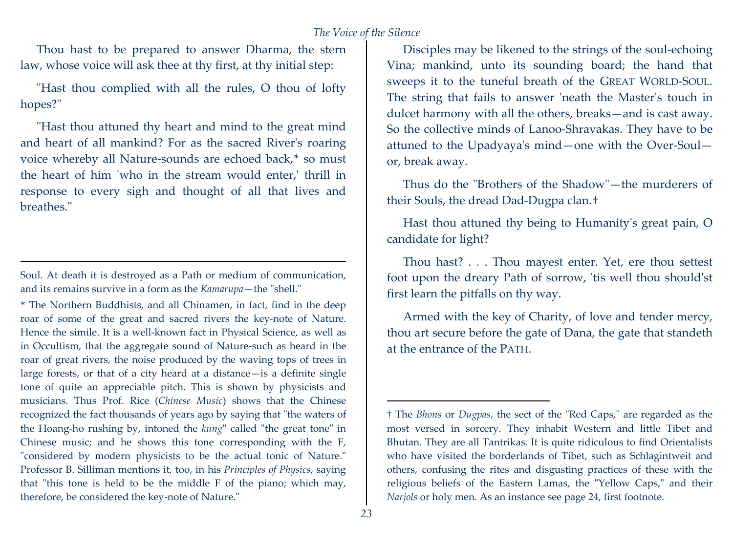Thou hast to be prepared to answer Dharma, the stern law, whose voice will ask thee at thy first, at thy initial step:

ʺHast thou complied with all the rules, O thou of lofty hopes?"

"Hast thou attuned thy heart and mind to the great mind and heart of all mankind? For as the sacred River<sup>ʹ</sup><sup>s</sup> roaring voice whereby all Nature‐sounds are echoed back,[\\*](#page-26-0) so must the heart of him 'who in the stream would enter,' thrill in response to every sigh and thought of all that lives and breathes."

Soul. At death it is destroyed as <sup>a</sup> Path or medium of communication, and its remains survive in a form as the *Kamarupa*—the "shell."

<span id="page-26-1"></span><span id="page-26-0"></span>\* The Northern Buddhists, and all Chinamen, in fact, find in the deep roar of some of the grea<sup>t</sup> and sacred rivers the key‐note of Nature. Hence the simile. It is <sup>a</sup> well‐known fact in Physical Science, as well as in Occultism, that the aggregate sound of Nature‐such as heard in the roar of grea<sup>t</sup> rivers, the noise produced by the waving tops of trees in large forests, or that of <sup>a</sup> city heard at <sup>a</sup> distance—is <sup>a</sup> definite single tone of quite an appreciable pitch. This is shown by physicists and musicians. Thus Prof. Rice (*Chinese Music*) shows that the Chinese recognized the fact thousands of years ago by saying that "the waters of the Hoang-ho rushing by, intoned the *kung*" called "the great tone" in Chinese music; and he shows this tone corresponding with the F, "considered by modern physicists to be the actual tonic of Nature." Professor B. Silliman mentions it, too, in his *Principles of Physics*, saying that "this tone is held to be the middle  $F$  of the piano; which may, therefore, be considered the key-note of Nature."

Disciples may be likened to the strings of the soul‐echoing Vina; mankind, unto its sounding board; the hand that sweeps it to the tuneful breath of the GREAT WORLD‐SOUL. The string that fails to answer 'neath the Master's touch in dulcet harmony with all the others, breaks—and is cast away. So the collective minds of Lanoo‐Shravakas. They have to be attuned to the Upadyaya's mind—one with the Over-Soul or, break away.

Thus do the "Brothers of the Shadow"—the murderers of their Souls, the dread Dad‐Dugpa clan.[†](#page-26-1)

Hast thou attuned thy being to Humanity<sup>ʹ</sup><sup>s</sup> grea<sup>t</sup> pain, O candidate for light?

Thou hast? . . . Thou mayes<sup>t</sup> enter. Yet, ere thou settest foot upon the dreary Path of sorrow, 'tis well thou should'st first learn the pitfalls on thy way.

Armed with the key of Charity, of love and tender mercy, thou art secure before the gate of Dana, the gate that standeth at the entrance of the PATH.

<sup>†</sup> The *Bhons* or *Dugpas*, the sect of the <sup>ʺ</sup>Red Caps,ʺ are regarded as the most versed in sorcery. They inhabit Western and little Tibet and Bhutan. They are all Tantrikas. It is quite ridiculous to find Orientalists who have visited the borderlands of Tibet, such as Schlagintweit and others, confusing the rites and disgusting practices of these with the religious beliefs of the Eastern Lamas, the "Yellow Caps," and their *Narjols* or holy men. As an instance see page 24, first footnote.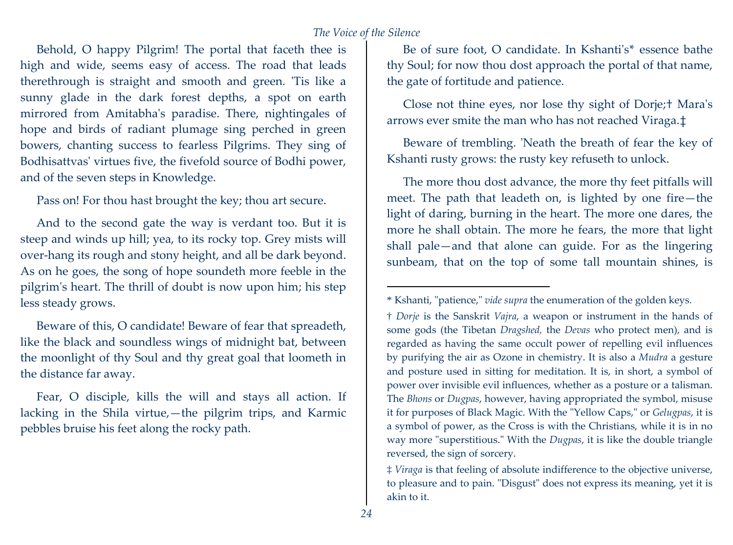Behold, O happy Pilgrim! The portal that faceth thee is high and wide, seems easy of access. The road that leads therethrough is straight and smooth and green. 'Tis like a sunny glade in the dark forest depths, a spo<sup>t</sup> on earth mirrored from Amitabha<sup>ʹ</sup><sup>s</sup> paradise. There, nightingales of hope and birds of radiant plumage sing perched in green bowers, chanting success to fearless Pilgrims. They sing of Bodhisattvasʹ virtues five, the fivefold source of Bodhi power, and of the seven steps in Knowledge.

Pass on! For thou hast brought the key; thou art secure.

And to the second gate the way is verdant too. But it is steep and winds up hill; yea, to its rocky top. Grey mists will over-hang its rough and stony height, and all be dark beyond. As on he goes, the song of hope soundeth more feeble in the pilgrim<sup>ʹ</sup><sup>s</sup> heart. The thrill of doubt is now upon him; his step less steady grows.

<span id="page-27-1"></span><span id="page-27-0"></span>Beware of this, O candidate! Beware of fear that spreadeth, like the black and soundless wings of midnight bat, between the moonlight of thy Soul and thy grea<sup>t</sup> goal that loometh in the distance far away.

Be of sure foot, O candidate. In Kshanti<sup>ʹ</sup>s[\\*](#page-27-0) essence bathe thy Soul; for now thou dost approach the portal of that name, the gate of fortitude and patience.

Close not thine eyes, nor lose thy sight of Dorje;[†](#page-27-1) Mara<sup>ʹ</sup><sup>s</sup> arrows ever smite the man who has not reached Viraga.[‡](#page-27-2)

Beware of trembling. 'Neath the breath of fear the key of Kshanti rusty grows: the rusty key refuseth to unlock.

The more thou dost advance, the more thy feet pitfalls will meet. The path that leadeth on, is lighted by one fire—the light of daring, burning in the heart. The more one dares, the more he shall obtain. The more he fears, the more that light shall pale—and that alone can guide. For as the lingering sunbeam, that on the top of some tall mountain shines, is

<span id="page-27-2"></span>Fear, O disciple, kills the will and stays all action. If lacking in the Shila virtue,—the pilgrim trips, and Karmic pebbles bruise his feet along the rocky path.

<sup>\*</sup> Kshanti, <sup>ʺ</sup>patience,ʺ *vide supra* the enumeration of the golden keys.

<sup>†</sup> *Dorje* is the Sanskrit *Vajra*, <sup>a</sup> weapon or instrument in the hands of some gods (the Tibetan *Dragshed,* the *Devas* who protect men), and is regarded as having the same occult power of repelling evil influences by purifying the air as Ozone in chemistry. It is also <sup>a</sup> *Mudra* <sup>a</sup> gesture and posture used in sitting for meditation. It is, in short, <sup>a</sup> symbol of power over invisible evil influences, whether as <sup>a</sup> posture or <sup>a</sup> talisman. The *Bhons* or *Dugpas*, however, having appropriated the symbol, misuse it for purposes of Black Magic. With the <sup>ʺ</sup>Yellow Caps,ʺ or *Gelugpas*, it is a symbol of power, as the Cross is with the Christians, while it is in no way more "superstitious." With the *Dugpas*, it is like the double triangle reversed, the sign of sorcery.

<sup>‡</sup> *Viraga* is that feeling of absolute indifference to the objective universe, to pleasure and to pain. "Disgust" does not express its meaning, yet it is akin to it.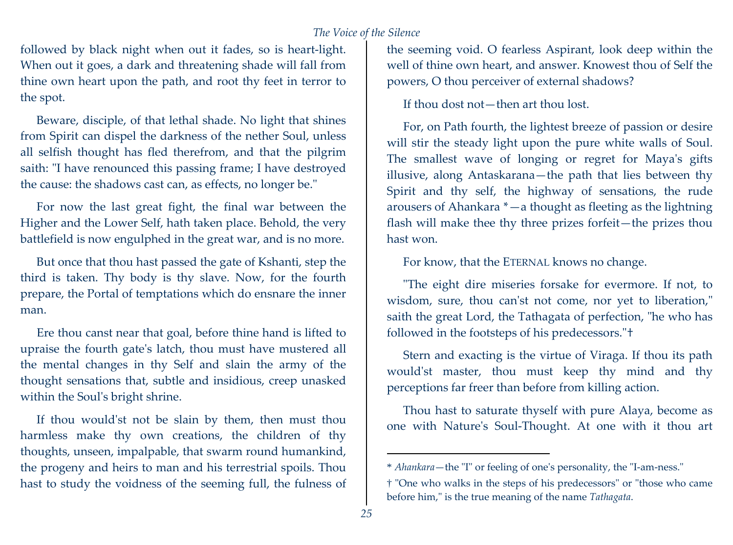followed by black night when out it fades, so is heart‐light. When out it goes, a dark and threatening shade will fall from thine own heart upon the path, and root thy feet in terror to the spot.

Beware, disciple, of that lethal shade. No light that shines from Spirit can dispel the darkness of the nether Soul, unless all selfish thought has fled therefrom, and that the pilgrim saith: "I have renounced this passing frame; I have destroyed the cause: the shadows cast can, as effects, no longer be."

For now the last grea<sup>t</sup> fight, the final war between the Higher and the Lower Self, hath taken place. Behold, the very battlefield is now engulphed in the grea<sup>t</sup> war, and is no more.

But once that thou hast passed the gate of Kshanti, step the third is taken. Thy body is thy slave. Now, for the fourth prepare, the Portal of temptations which do ensnare the inner man.

Ere thou canst near that goal, before thine hand is lifted to upraise the fourth gate's latch, thou must have mustered all the mental changes in thy Self and slain the army of the thought sensations that, subtle and insidious, creep unasked within the Soul<sup>ʹ</sup><sup>s</sup> bright shrine.

<span id="page-28-1"></span><span id="page-28-0"></span>If thou would'st not be slain by them, then must thou harmless make thy own creations, the children of thy thoughts, unseen, impalpable, that swarm round humankind, the progeny and heirs to man and his terrestrial spoils. Thou hast to study the voidness of the seeming full, the fulness of

the seeming void. O fearless Aspirant, look deep within the well of thine own heart, and answer. Knowest thou of Self the powers, O thou perceiver of external shadows?

If thou dost not—then art thou lost.

For, on Path fourth, the lightest breeze of passion or desire will stir the steady light upon the pure white walls of Soul. The smallest wave of longing or regret for Maya's gifts illusive, along Antaskarana—the path that lies between thy Spirit and thy self, the highway of sensations, the rude arousers of Ahankara [\\*](#page-28-0)—a thought as fleeting as the lightning flash will make thee thy three prizes forfeit—the prizes thou hast won.

For know, that the ETERNAL knows no change.

ʺThe eight dire miseries forsake for evermore. If not, to wisdom, sure, thou can'st not come, nor yet to liberation," saith the great Lord, the Tathagata of perfection, "he who has followed in the footsteps of his predecessors."[†](#page-28-1)

Stern and exacting is the virtue of Viraga. If thou its path would<sup>ʹ</sup>st master, thou must keep thy mind and thy perceptions far freer than before from killing action.

Thou hast to saturate thyself with pure Alaya, become as one with Nature<sup>ʹ</sup><sup>s</sup> Soul‐Thought. At one with it thou art

<sup>\*</sup> *Ahankara*—the "I" or feeling of one's personality, the "I-am-ness."

<sup>&</sup>lt;sup>†</sup> "One who walks in the steps of his predecessors" or "those who came" before him,ʺ is the true meaning of the name *Tathagata*.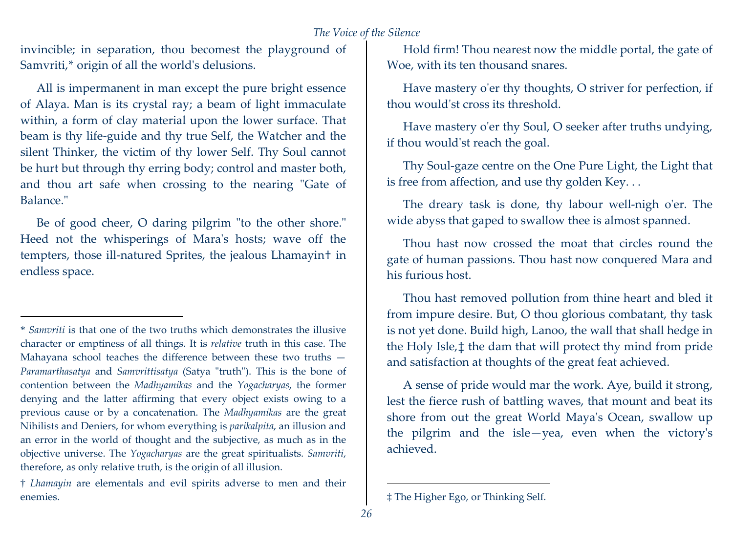invincible; in separation, thou becomest the playground of Samvriti,[\\*](#page-29-0) origin of all the world's delusions.

All is impermanent in man excep<sup>t</sup> the pure bright essence of Alaya. Man is its crystal ray; a beam of light immaculate within, a form of clay material upon the lower surface. That beam is thy life‐guide and thy true Self, the Watcher and the silent Thinker, the victim of thy lower Self. Thy Soul cannot be hurt but through thy erring body; control and master both, and thou art safe when crossing to the nearing "Gate of Balance."

Be of good cheer, O daring pilgrim "to the other shore." Heed not the whisperings of Mara's hosts; wave off the tempters, those ill-natured Sprites, the jealous Lhamayint in endless space.

Hold firm! Thou nearest now the middle portal, the gate of Woe, with its ten thousand snares.

Have mastery o<sup>ʹ</sup>er thy thoughts, O striver for perfection, if thou would<sup>ʹ</sup>st cross its threshold.

Have mastery o<sup>ʹ</sup>er thy Soul, O seeker after truths undying, if thou would<sup>ʹ</sup>st reach the goal.

Thy Soul‐gaze centre on the One Pure Light, the Light that is free from affection, and use thy golden Key. . .

The dreary task is done, thy labour well-nigh o'er. The wide abyss that gaped to swallow thee is almost spanned.

Thou hast now crossed the moat that circles round the gate of human passions. Thou hast now conquered Mara and his furious host.

Thou hast removed pollution from thine heart and bled it from impure desire. But, O thou glorious combatant, thy task is not ye<sup>t</sup> done. Build high, Lanoo, the wall that shall hedge in the Holy Isle,[‡](#page-29-2) the dam that will protect thy mind from pride and satisfaction at thoughts of the grea<sup>t</sup> feat achieved.

A sense of pride would mar the work. Aye, build it strong, lest the fierce rush of battling waves, that mount and beat its shore from out the grea<sup>t</sup> World Maya<sup>ʹ</sup><sup>s</sup> Ocean, swallow up the pilgrim and the isle—yea, even when the victory<sup>ʹ</sup><sup>s</sup> achieved.

<span id="page-29-0"></span><sup>\*</sup> *Samvriti* is that one of the two truths which demonstrates the illusive character or emptiness of all things. It is *relative* truth in this case. The Mahayana school teaches the difference between these two truths — *Paramarthasatya* and *Samvrittisatya* (Satya "truth"). This is the bone of contention between the *Madhyamikas* and the *Yogacharyas*, the former denying and the latter affirming that every object exists owing to <sup>a</sup> previous cause or by <sup>a</sup> concatenation. The *Madhyamikas* are the grea<sup>t</sup> Nihilists and Deniers, for whom everything is *parikalpita*, an illusion and an error in the world of thought and the subjective, as much as in the objective universe. The *Yogacharyas* are the grea<sup>t</sup> spiritualists. *Samvriti*, therefore, as only relative truth, is the origin of all illusion.

<span id="page-29-2"></span><span id="page-29-1"></span><sup>†</sup> *Lhamayin* are elementals and evil spirits adverse to men and their enemies.

<sup>‡</sup> The Higher Ego, or Thinking Self.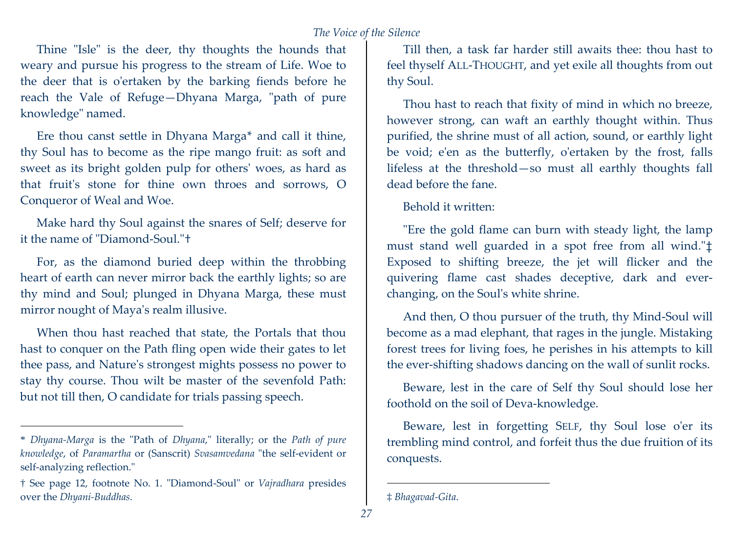Thine "Isle" is the deer, thy thoughts the hounds that weary and pursue his progress to the stream of Life. Woe to the deer that is <sup>o</sup><sup>ʹ</sup>ertaken by the barking fiends before he reach the Vale of Refuge—Dhyana Marga, "path of pure knowledge" named.

Ere thou canst settle in Dhyana Marga[\\*](#page-30-0) and call it thine, thy Soul has to become as the ripe mango fruit: as soft and sweet as its bright golden pulp for othersʹ woes, as hard as that fruit<sup>ʹ</sup><sup>s</sup> stone for thine own throes and sorrows, O Conqueror of Weal and Woe.

Make hard thy Soul against the snares of Self; deserve for it the name of "Diamond-Soul."[†](#page-30-1)

For, as the diamond buried deep within the throbbing heart of earth can never mirror back the earthly lights; so are thy mind and Soul; plunged in Dhyana Marga, these must mirror nought of Maya<sup>ʹ</sup><sup>s</sup> realm illusive.

When thou hast reached that state, the Portals that thou hast to conquer on the Path fling open wide their gates to let thee pass, and Nature<sup>ʹ</sup><sup>s</sup> strongest mights possess no power to stay thy course. Thou wilt be master of the sevenfold Path: but not till then, O candidate for trials passing speech.

Till then, <sup>a</sup> task far harder still awaits thee: thou hast to feel thyself ALL‐THOUGHT, and ye<sup>t</sup> exile all thoughts from out thy Soul.

Thou hast to reach that fixity of mind in which no breeze, however strong, can waft an earthly thought within. Thus purified, the shrine must of all action, sound, or earthly light be void; e'en as the butterfly, o'ertaken by the frost, falls lifeless at the threshold—so must all earthly thoughts fall dead before the fane.

Behold it written:

"Ere the gold flame can burn with steady light, the lamp must stand well guarded in a spot free from all wind."[‡](#page-30-2) Exposed to shifting breeze, the jet will flicker and the quivering flame cast shades deceptive, dark and everchanging, on the Soul<sup>ʹ</sup><sup>s</sup> white shrine.

And then, O thou pursuer of the truth, thy Mind‐Soul will become as a mad elephant, that rages in the jungle. Mistaking forest trees for living foes, he perishes in his attempts to kill the ever‐shifting shadows dancing on the wall of sunlit rocks.

Beware, lest in the care of Self thy Soul should lose her foothold on the soil of Deva‐knowledge.

Beware, lest in forgetting SELF, thy Soul lose o'er its trembling mind control, and forfeit thus the due fruition of its conquests.

<span id="page-30-0"></span><sup>\*</sup> *Dhyana‐Marga* is the <sup>ʺ</sup>Path of *Dhyana*,ʺ literally; or the *Path of pure knowledge*, of *Paramartha* or (Sanscrit) *Svasamvedana* <sup>ʺ</sup>the self‐evident or self-analyzing reflection."

<span id="page-30-2"></span><span id="page-30-1"></span><sup>†</sup> See page 12, footnote No. 1. <sup>ʺ</sup>Diamond‐Soulʺ or *Vajradhara* presides over the *Dhyani‐Buddhas*.

<sup>‡</sup> *Bhagavad‐Gita*.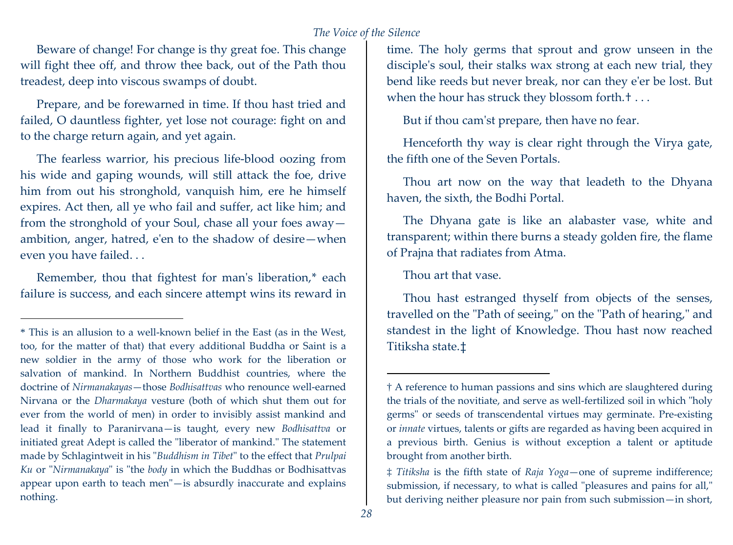Beware of change! For change is thy grea<sup>t</sup> foe. This change will fight thee off, and throw thee back, out of the Path thou treadest, deep into viscous swamps of doubt.

Prepare, and be forewarned in time. If thou hast tried and failed, O dauntless fighter, ye<sup>t</sup> lose not courage: fight on and to the charge return again, and ye<sup>t</sup> again.

The fearless warrior, his precious life‐blood oozing from his wide and gaping wounds, will still attack the foe, drive him from out his stronghold, vanquish him, ere he himself expires. Act then, all ye who fail and suffer, act like him; and from the stronghold of your Soul, chase all your foes away ambition, anger, hatred, e'en to the shadow of desire—when even you have failed. . .

Remember, thou that fightest for man's liberation,[\\*](#page-31-0) each failure is success, and each sincere attempt wins its reward in

time. The holy germs that sprou<sup>t</sup> and grow unseen in the disciple's soul, their stalks wax strong at each new trial, they bend like reeds but never break, nor can they <sup>e</sup><sup>ʹ</sup>er be lost. But when the hour has struck they blossom forth.[†](#page-31-1)  $\dots$ 

But if thou cam'st prepare, then have no fear.

Henceforth thy way is clear right through the Virya gate, the fifth one of the Seven Portals.

Thou art now on the way that leadeth to the Dhyana haven, the sixth, the Bodhi Portal.

The Dhyana gate is like an alabaster vase, white and transparent; within there burns <sup>a</sup> steady golden fire, the flame of Prajna that radiates from Atma.

Thou art that vase.

Thou hast estranged thyself from objects of the senses, travelled on the "Path of seeing," on the "Path of hearing," and standest in the light of Knowledge. Thou hast now reached Titiksha state.[‡](#page-31-2)

<span id="page-31-2"></span><span id="page-31-1"></span><span id="page-31-0"></span><sup>\*</sup> This is an allusion to <sup>a</sup> well‐known belief in the East (as in the West, too, for the matter of that) that every additional Buddha or Saint is <sup>a</sup> new soldier in the army of those who work for the liberation or salvation of mankind. In Northern Buddhist countries, where the doctrine of *Nirmanakayas*—those *Bodhisattvas* who renounce well‐earned Nirvana or the *Dharmakaya* vesture (both of which shut them out for ever from the world of men) in order to invisibly assist mankind and lead it finally to Paranirvana—is taught, every new *Bodhisattva* or initiated great Adept is called the "liberator of mankind." The statement made by Schlagintweit in his <sup>ʺ</sup>*Buddhism in Tibet*ʺ to the effect that *Prulpai Ku* or <sup>ʺ</sup>*Nirmanakaya*ʺ is <sup>ʺ</sup>the *body* in which the Buddhas or Bodhisattvas appear upon earth to teach men"—is absurdly inaccurate and explains nothing.

<sup>†</sup> A reference to human passions and sins which are slaughtered during the trials of the novitiate, and serve as well-fertilized soil in which "holy germs" or seeds of transcendental virtues may germinate. Pre-existing or *innate* virtues, talents or gifts are regarded as having been acquired in a previous birth. Genius is without exception <sup>a</sup> talent or aptitude brought from another birth.

<sup>‡</sup> *Titiksha* is the fifth state of *Raja Yoga*—one of supreme indifference; submission, if necessary, to what is called "pleasures and pains for all," but deriving neither pleasure nor pain from such submission—in short,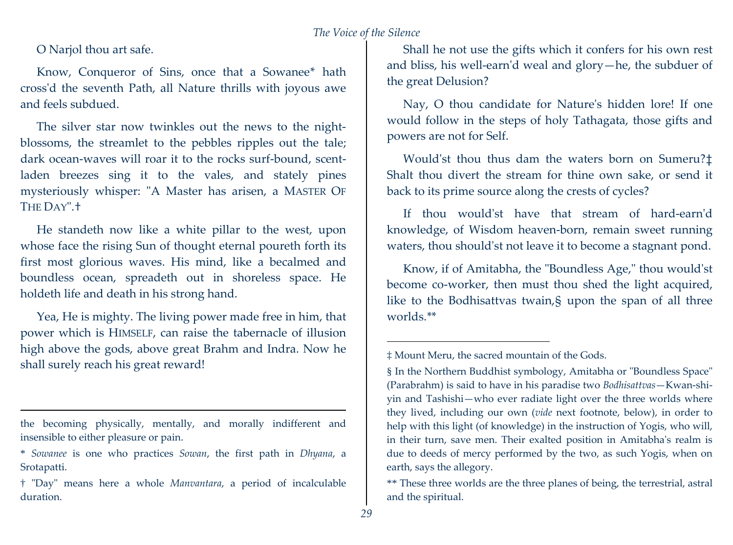#### O Narjol thou art safe.

Know, Conqueror of Sins, once that <sup>a</sup> Sowanee[\\*](#page-32-0) hath cross<sup>ʹ</sup>d the seventh Path, all Nature thrills with joyous awe and feels subdued.

The silver star now twinkles out the news to the night‐ blossoms, the streamlet to the pebbles ripples out the tale; dark ocean‐waves will roar it to the rocks surf‐bound, scent‐ laden breezes sing it to the vales, and stately pines mysteriously whisper: "A Master has arisen, a MASTER OF THE DAY<sup>ʺ</sup>.[†](#page-32-1)

He standeth now like <sup>a</sup> white pillar to the west, upon whose face the rising Sun of thought eternal poureth forth its first most glorious waves. His mind, like <sup>a</sup> becalmed and boundless ocean, spreadeth out in shoreless space. He holdeth life and death in his strong hand.

<span id="page-32-3"></span><span id="page-32-2"></span>Yea, He is mighty. The living power made free in him, that power which is HIMSELF, can raise the tabernacle of illusion high above the gods, above grea<sup>t</sup> Brahm and Indra. Now he shall surely reach his grea<sup>t</sup> reward!

the becoming physically, mentally, and morally indifferent and insensible to either pleasure or pain.

<span id="page-32-1"></span>† <sup>ʺ</sup>Dayʺ means here <sup>a</sup> whole *Manvantara*, <sup>a</sup> period of incalculable duration.

Shall he not use the gifts which it confers for his own rest and bliss, his well‐earn<sup>ʹ</sup>d weal and glory—he, the subduer of the grea<sup>t</sup> Delusion?

Nay, O thou candidate for Nature's hidden lore! If one would follow in the steps of holy Tathagata, those gifts and powers are not for Self.

Would<sup>ʹ</sup>st thou thus dam the waters born on Sumeru?[‡](#page-32-2) Shalt thou divert the stream for thine own sake, or send it back to its prime source along the crests of cycles?

If thou would<sup>ʹ</sup>st have that stream of hard‐earn<sup>ʹ</sup>d knowledge, of Wisdom heaven‐born, remain sweet running waters, thou should'st not leave it to become a stagnant pond.

Know, if of Amitabha, the "Boundless Age," thou would'st become co‐worker, then must thou shed the light acquired, like to the Bodhisattvas twain,[§](#page-32-3) upon the span of all three worlds.[\\*\\*](#page-32-1)

<span id="page-32-0"></span><sup>\*</sup> *Sowanee* is one who practices *Sowan*, the first path in *Dhyana*, <sup>a</sup> Srotapatti.

<sup>‡</sup> Mount Meru, the sacred mountain of the Gods.

<sup>§</sup> In the Northern Buddhist symbology, Amitabha or "Boundless Space" (Parabrahm) is said to have in his paradise two *Bodhisattvas*—Kwan‐shi‐ yin and Tashishi—who ever radiate light over the three worlds where they lived, including our own (*vide* next footnote, below), in order to help with this light (of knowledge) in the instruction of Yogis, who will, in their turn, save men. Their exalted position in Amitabha<sup>ʹ</sup><sup>s</sup> realm is due to deeds of mercy performed by the two, as such Yogis, when on earth, says the allegory.

<sup>\*\*</sup> These three worlds are the three planes of being, the terrestrial, astral and the spiritual.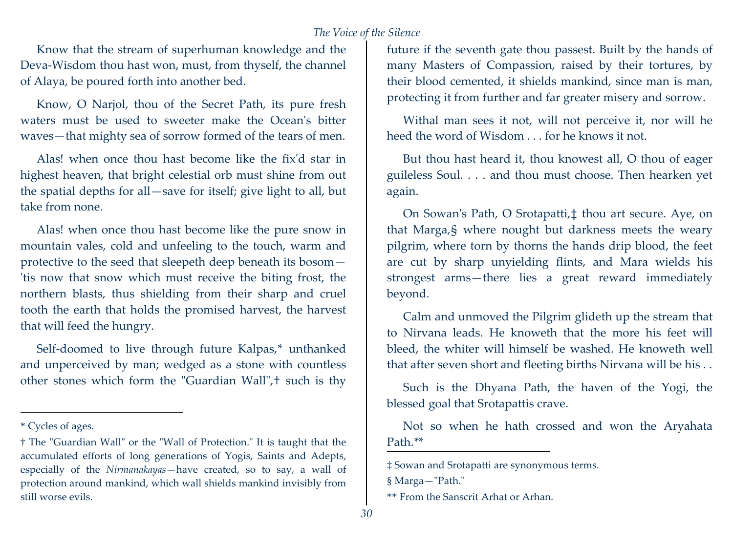Know that the stream of superhuman knowledge and the Deva‐Wisdom thou hast won, must, from thyself, the channel of Alaya, be poured forth into another bed.

Know, O Narjol, thou of the Secret Path, its pure fresh waters must be used to sweeter make the Ocean<sup>ʹ</sup><sup>s</sup> bitter waves—that mighty sea of sorrow formed of the tears of men.

Alas! when once thou hast become like the fixʹd star in highest heaven, that bright celestial orb must shine from out the spatial depths for all—save for itself; give light to all, but take from none.

Alas! when once thou hast become like the pure snow in mountain vales, cold and unfeeling to the touch, warm and protective to the seed that sleepeth deep beneath its bosom— ʹtis now that snow which must receive the biting frost, the northern blasts, thus shielding from their sharp and cruel tooth the earth that holds the promised harvest, the harvest that will feed the hungry.

Self‐doomed to live through future Kalpas,[\\*](#page-33-0) unthanked and unperceived by man; wedged as <sup>a</sup> stone with countless other stones which form the "Guardian Wall",[†](#page-33-1) such is thy

future if the seventh gate thou passest. Built by the hands of many Masters of Compassion, raised by their tortures, by their blood cemented, it shields mankind, since man is man, protecting it from further and far greater misery and sorrow.

Withal man sees it not, will not perceive it, nor will he heed the word of Wisdom . . . for he knows it not.

But thou hast heard it, thou knowest all, O thou of eager guileless Soul. . . . and thou must choose. Then hearken ye<sup>t</sup> again.

On Sowan<sup>ʹ</sup><sup>s</sup> Path, O Srotapatti,[‡](#page-33-2) thou art secure. Aye, on that Marga,[§](#page-33-3) where nought but darkness meets the weary pilgrim, where torn by thorns the hands drip blood, the feet are cut by sharp unyielding flints, and Mara wields his strongest arms—there lies <sup>a</sup> grea<sup>t</sup> reward immediately beyond.

Calm and unmoved the Pilgrim glideth up the stream that to Nirvana leads. He knoweth that the more his feet will bleed, the whiter will himself be washed. He knoweth well that after seven short and fleeting births Nirvana will be his . .

Such is the Dhyana Path, the haven of the Yogi, the blessed goal that Srotapattis crave.

Not so when he hath crossed and won the Aryahata Path.\*\*

<span id="page-33-0"></span><sup>\*</sup> Cycles of ages.

<span id="page-33-4"></span><span id="page-33-3"></span><span id="page-33-2"></span><span id="page-33-1"></span><sup>&</sup>lt;sup>†</sup> The "Guardian Wall" or the "Wall of Protection." It is taught that the accumulated efforts of long generations of Yogis, Saints and Adepts, especially of the *Nirmanakayas*—have created, so to say, <sup>a</sup> wall of protection around mankind, which wall shields mankind invisibly from still worse evils.

<sup>‡</sup> Sowan and Srotapatti are synonymous terms.

<sup>§</sup> Marga-"Path."

<sup>\*\*</sup> From the Sanscrit Arhat or Arhan.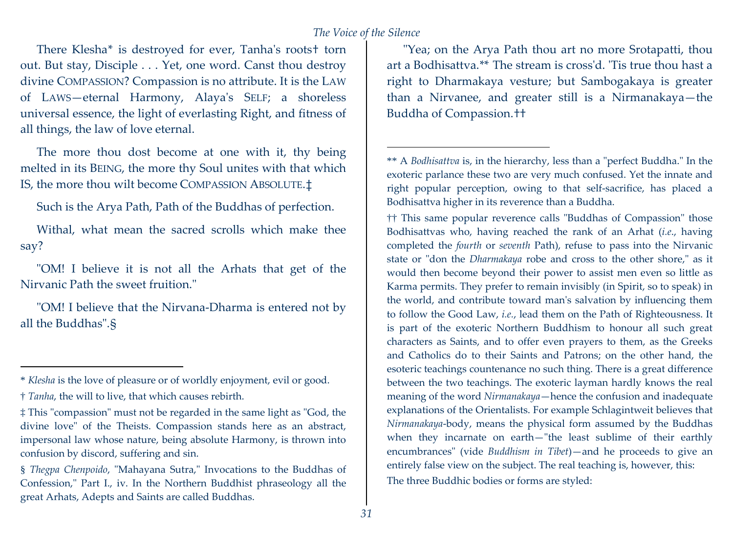out. But stay, Disciple . . . Yet, one word. Canst thou destroy divine COMPASSION? Compassion is no attribute. It is the LAWof LAWS—eternal Harmony, Alaya<sup>ʹ</sup><sup>s</sup> SELF; <sup>a</sup> shoreless There Klesha\* is [destroyed](#page-33-4) for ever, Tanha<sup>ʹ</sup><sup>s</sup> roots† torn universal essence, the light of everlasting Right, and fitness of all things, the law of love eternal.

<span id="page-34-0"></span>IS, the more thou wilt become COMPASSION ABSOLUTE.‡ The more thou dost become at one with it, thy being melted in its BEING, the more thy Soul unites with that which

Such is the Arya Path, Path of the Buddhas of perfection.

<span id="page-34-1"></span>Withal, what mean the sacred scrolls which make thee sa y?

<sup>ʺ</sup>OM! I believe it is not all the Arhats that ge<sup>t</sup> of the Nirvanic Path the sweet fruition.ʺ

<sup>ʺ</sup>OM! I believe that the Nirvana‐Dharma is entered not by all the Buddhas<sup>ʺ</sup>.§

<sup>ʺ</sup>Yea; on the Arya Path thou art no more Srotapatti, thou art a Bodhisattva.[\\*\\*](#page-34-0) The stream is cross'd. 'Tis true thou hast a right to Dharmakaya vesture; but Sambogakaya is greater than a Nirvanee, and greater still is a Nirmanakaya—the Buddha of Compassion.[††](#page-34-1)

right popular perception, owing to that self-sacrifice, has placed a \*\* A *Bodhisattva* is, in the hierarchy, less than a "perfect Buddha." In the exoteric parlance these two are very much confused. Yet the innate and Bodhisattva higher in its reverence than <sup>a</sup> Buddha.

completed the *fourth* or *seventh* Path), refuse to pass into the Nirvanic †† This same popular reverence calls "Buddhas of Compassion" those Bodhisattvas who, having reached the rank of an Arhat (*i.e*., having state or "don the *Dharmakaya* robe and cross to the other shore," as it would then become beyond their power to assist men even so little as Karma permits. They prefer to remain invisibly (in Spirit, so to speak) in the world, and contribute toward man<sup>ʹ</sup><sup>s</sup> salvation by influencing them to follow the Good Law, *i.e.*, lead them on the Path of Righteousness. It is par<sup>t</sup> of the exoteric Northern Buddhism to honour all such grea<sup>t</sup> characters as Saints, and to offer even prayers to them, as the Greeks and Catholics do to their Saints and Patrons; on the other hand, the esoteric teachings countenance no such thing. There is <sup>a</sup> grea<sup>t</sup> difference between the two teachings. The exoteric layman hardly knows the real meaning of the word *Nirmanakaya*—hence the confusion and inadequate explanations of the Orientalists. For example Schlagintweit believes that *Nirmanakaya*‐body, means the physical form assumed by the Buddhas when they incarnate on earth—"the least sublime of their earthly encumbrances" (vide *Buddhism in Tibet*)—and he proceeds to give an entirely false view on the subject. The real teaching is, however, this: The three Buddhic bodies or forms are styled:

<sup>\*</sup> *Klesha* is the love of pleasure or of worldly enjoyment, evil or good.

<sup>†</sup> *Tanha*, the will to live, that which causes rebirth.

<sup>‡</sup> This "compassion" must not be regarded in the same light as "God, the divine love" of the Theists. Compassion stands here as an abstract, impersonal law whose nature, being absolute Harmony, is thrown into confusion by discord, suffering and sin.

<sup>§</sup> *Thegpa Chenpoido*, "Mahayana Sutra," Invocations to the Buddhas of Confession," Part I., iv. In the Northern Buddhist phraseology all the grea<sup>t</sup> Arhats, Adepts and Saints are called Buddhas.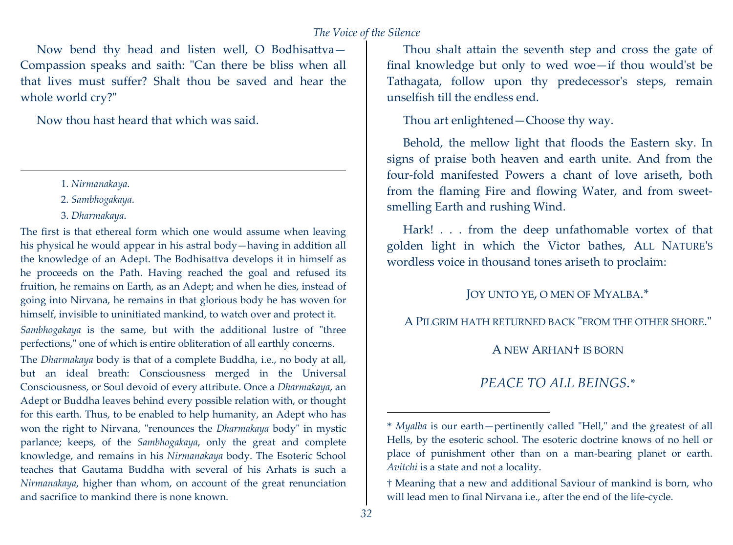Now bend thy head and listen well, O Bodhisattva— Compassion speaks and saith: "Can there be bliss when all that lives must suffer? Shalt thou be saved and hear the whole world cry?"

Now thou hast heard that which was said.

- 1. *Nirmanakaya*.
- 2. *Sambhogakaya*.
- 3. *Dharmakaya*.

The first is that ethereal form which one would assume when leaving his physical he would appear in his astral body—having in addition all the knowledge of an Adept. The Bodhisattva develops it in himself as he proceeds on the Path. Having reached the goal and refused its fruition, he remains on Earth, as an Adept; and when he dies, instead of going into Nirvana, he remains in that glorious body he has woven for himself, invisible to uninitiated mankind, to watch over and protect it. *Sambhogakaya* is the same, but with the additional lustre of "three perfections," one of which is entire obliteration of all earthly concerns.

<span id="page-35-2"></span><span id="page-35-1"></span><span id="page-35-0"></span>The *Dharmakaya* body is that of <sup>a</sup> complete Buddha, i.e., no body at all, but an ideal breath: Consciousness merged in the Universal Consciousness, or Soul devoid of every attribute. Once <sup>a</sup> *Dharmakaya*, an Adept or Buddha leaves behind every possible relation with, or thought for this earth. Thus, to be enabled to help humanity, an Adept who has won the right to Nirvana, "renounces the *Dharmakaya* body" in mystic parlance; keeps, of the *Sambhogakaya*, only the grea<sup>t</sup> and complete knowledge, and remains in his *Nirmanakaya* body. The Esoteric School teaches that Gautama Buddha with several of his Arhats is such <sup>a</sup> *Nirmanakaya*, higher than whom, on account of the grea<sup>t</sup> renunciation and sacrifice to mankind there is none known.

Thou shalt attain the seventh step and cross the gate of final knowledge but only to wed woe—if thou would<sup>ʹ</sup>st be Tathagata, follow upon thy predecessor's steps, remain unselfish till the endless end.

Thou art enlightened—Choose thy way.

Behold, the mellow light that floods the Eastern sky. In signs of praise both heaven and earth unite. And from the four‐fold manifested Powers <sup>a</sup> chant of love ariseth, both from the flaming Fire and flowing Water, and from sweet‐ smelling Earth and rushing Wind.

Hark! . . . from the deep unfathomable vortex of that golden light in which the Victor bathes, ALL NATURE<sup>ʹ</sup><sup>S</sup> wordless voice in thousand tones ariseth to proclaim:

#### JOY UNTO YE, <sup>O</sup> MEN OF MYALBA.[\\*](#page-35-0)

A PILGRIM HATH RETURNED BACK "FROM THE OTHER SHORE."

#### A NEW ARHAN[†](#page-35-1) IS BORN

#### *PEACE TO ALL BEINGS*.[\\*](#page-35-2)

<sup>\*</sup> *Myalba* is our earth—pertinently called "Hell," and the greatest of all Hells, by the esoteric school. The esoteric doctrine knows of no hell or place of punishment other than on a man-bearing planet or earth. *Avitchi* is <sup>a</sup> state and not <sup>a</sup> locality.

<sup>†</sup> Meaning that <sup>a</sup> new and additional Saviour of mankind is born, who will lead men to final Nirvana i.e., after the end of the life‐cycle.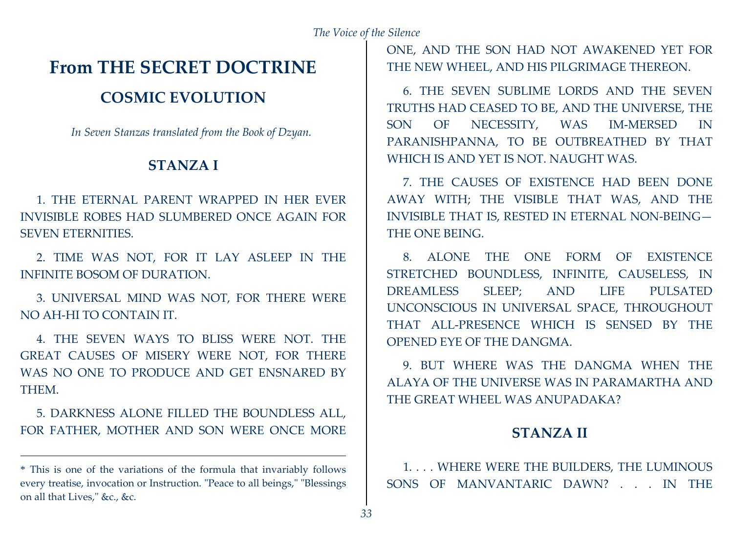### <span id="page-36-0"></span>**From THE SECRET DOCTRINE COSMIC EVOLUTION**

*In Seven Stanzas translated from the Book of Dzyan.*

#### **STANZA I**

1. THE ETERNAL PARENT WRAPPED IN HER EVER INVISIBLE ROBES HAD SLUMBERED ONCE AGAIN FOR SEVEN ETERNITIES.

2. TIME WAS NOT, FOR IT LAY ASLEEP IN THE INFINITE BOSOM OF DURATION.

3. UNIVERSAL MIND WAS NOT, FOR THERE WERE NO AH‐HI TO CONTAIN IT.

4. THE SEVEN WAYS TO BLISS WERE NOT. THE GREAT CAUSES OF MISERY WERE NOT, FOR THERE WAS NO ONE TO PRODUCE AND GET ENSNARED BY THEM.

5. DARKNESS ALONE FILLED THE BOUNDLESS ALL, FOR FATHER, MOTHER AND SON WERE ONCE MORE ONE, AND THE SON HAD NOT AWAKENED YET FOR THE NEW WHEEL, AND HIS PILGRIMAGE THEREON.

6. THE SEVEN SUBLIME LORDS AND THE SEVEN TRUTHS HAD CEASED TO BE, AND THE UNIVERSE, THE SON OF NECESSITY, WAS IM‐MERSED IN PARANISHPANNA, TO BE OUTBREATHED BY THAT WHICH IS AND YET IS NOT. NAUGHT WAS.

7. THE CAUSES OF EXISTENCE HAD BEEN DONE AWAY WITH; THE VISIBLE THAT WAS, AND THE INVISIBLE THAT IS, RESTED IN ETERNAL NON‐BEING— THE ONE BEING.

8. ALONE THE ONE FORM OF EXISTENCE STRETCHED BOUNDLESS, INFINITE, CAUSELESS, IN **DREAMLESS**  SLEEP; AND LIFE PULSATED UNCONSCIOUS IN UNIVERSAL SPACE, THROUGHOUT THAT ALL‐PRESENCE WHICH IS SENSED BY THE OPENED EYE OF THE DANGMA.

9. BUT WHERE WAS THE DANGMA WHEN THE ALAYA OF THE UNIVERSE WAS IN PARAMARTHA AND THE GREAT WHEEL WAS ANUPADAKA?

#### **STANZA II**

1. . . . WHERE WERE THE BUILDERS, THE LUMINOUS SONS OF MANVANTARIC DAWN? . . . IN THE

<sup>\*</sup> This is one of the variations of the formula that invariably follows every treatise, invocation or Instruction. "Peace to all beings," "Blessings on all that Lives,ʺ &c., &c.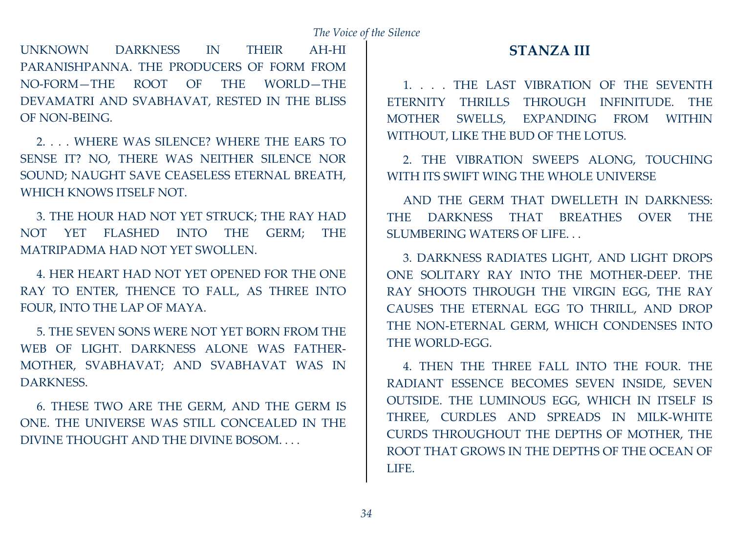<span id="page-37-0"></span>UNKNOWN DARKNESS IN THEIR AH‐HI PARANISHPANNA. THE PRODUCERS OF FORM FROM NO‐FORM—THE ROOT OF THE WORLD—THE DEVAMATRI AND SVABHAVAT, RESTED IN THE BLISS OF NON‐BEING.

2. . . . WHERE WAS SILENCE? WHERE THE EARS TOSENSE IT? NO, THERE WAS NEITHER SILENCE NOR SOUND; NAUGHT SAVE CEASELESS ETERNAL BREATH, WHICH KNOWS ITSELF NOT.

3. THE HOUR HAD NOT YET STRUCK; THE RAY HAD NOT YET FLASHED INTO THE GERM; THE MATRIPADMA HAD NOT YET SWOLLEN.

4. HER HEART HAD NOT YET OPENED FOR THE ONE RAY TO ENTER, THENCE TO FALL, AS THREE INTO FOUR, INTO THE LAP OF MAYA.

5. THE SEVEN SONS WERE NOT YET BORN FROM THE WEB OF LIGHT. DARKNESS ALONE WAS FATHER‐ MOTHER, SVABHAVAT; AND SVABHAVAT WAS IN **DARKNESS** 

6. THESE TWO ARE THE GERM, AND THE GERM IS ONE. THE UNIVERSE WAS STILL CONCEALED IN THE DIVINE THOUGHT AND THE DIVINE BOSOM. . . .

#### **STANZA III**

1. . . . THE LAST VIBRATION OF THE SEVENTHETERNITY THRILLS THROUGH INFINITUDE. THE MOTHER SWELLS, EXPANDING FROM WITHIN WITHOUT, LIKE THE BUD OF THE LOTUS.

2. THE VIBRATION SWEEPS ALONG, TOUCHING WITH ITS SWIFT WING THE WHOLE UNIVERSE

AND THE GERM THAT DWELLETH IN DARKNESS: THE DARKNESS THAT BREATHES OVER THE SLUMBERING WATERS OF LIFE. . .

3. DARKNESS RADIATES LIGHT, AND LIGHT DROPS ONE SOLITARY RAY INTO THE MOTHER‐DEEP. THE RAY SHOOTS THROUGH THE VIRGIN EGG, THE RAY CAUSES THE ETERNAL EGG TO THRILL, AND DROP THE NON‐ETERNAL GERM, WHICH CONDENSES INTO THE WORLD‐EGG.

4. THEN THE THREE FALL INTO THE FOUR. THE RADIANT ESSENCE BECOMES SEVEN INSIDE, SEVEN OUTSIDE. THE LUMINOUS EGG, WHICH IN ITSELF IS THREE, CURDLES AND SPREADS IN MILK‐WHITE CURDS THROUGHOUT THE DEPTHS OF MOTHER, THE ROOT THAT GROWS IN THE DEPTHS OF THE OCEAN OF LIFE.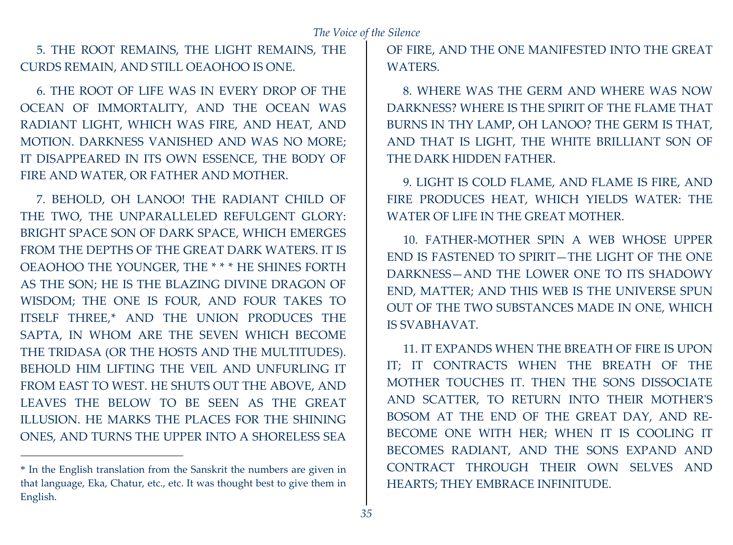5. THE ROOT REMAINS, THE LIGHT REMAINS, THE CURDS REMAIN, AND STILL OEAOHOO IS ONE.

6. THE ROOT OF LIFE WAS IN EVERY DROP OF THE OCEAN OF IMMORTALITY, AND THE OCEAN WAS RADIANT LIGHT, WHICH WAS FIRE, AND HEAT, AND MOTION. DARKNESS VANISHED AND WAS NO MORE; IT DISAPPEARED IN ITS OWN ESSENCE, THE BODY OF FIRE AND WATER, OR FATHER AND MOTHER.

7. BEHOLD, OH LANOO! THE RADIANT CHILD OF THE TWO, THE UNPARALLELED REFULGENT GLORY: BRIGHT SPACE SON OF DARK SPACE, WHICH EMERGES FROM THE DEPTHS OF THE GREAT DARK WATERS. IT IS OEAOHOO THE YOUNGER, THE \* \* \* HE SHINES FORTH AS THE SON; HE IS THE BLAZING DIVINE DRAGON OF WISDOM; THE ONE IS FOUR, AND FOUR TAKES TO ITSELF THREE,[\\*](#page-38-0) AND THE UNION PRODUCES THE SAPTA, IN WHOM ARE THE SEVEN WHICH BECOME THE TRIDASA (OR THE HOSTS AND THE MULTITUDES). BEHOLD HIM LIFTING THE VEIL AND UNFURLING IT FROM EAST TO WEST. HE SHUTS OUT THE ABOVE, AND LEAVES THE BELOW TO BE SEEN AS THE GREAT ILLUSION. HE MARKS THE PLACES FOR THE SHININGONES, AND TURNS THE UPPER INTO A SHORELESS SEA

OF FIRE, AND THE ONE MANIFESTED INTO THE GREAT WATERS.

8. WHERE WAS THE GERM AND WHERE WAS NOWDARKNESS? WHERE IS THE SPIRIT OF THE FLAME THAT BURNS IN THY LAMP, OH LANOO? THE GERM IS THAT, AND THAT IS LIGHT, THE WHITE BRILLIANT SON OF THE DARK HIDDEN FATHER.

9. LIGHT IS COLD FLAME, AND FLAME IS FIRE, AND FIRE PRODUCES HEAT, WHICH YIELDS WATER: THE WATER OF LIFE IN THE GREAT MOTHER.

10. FATHER‐MOTHER SPIN A WEB WHOSE UPPER END IS FASTENED TO SPIRIT—THE LIGHT OF THE ONE DARKNESS—AND THE LOWER ONE TO ITS SHADOWY END, MATTER; AND THIS WEB IS THE UNIVERSE SPUN OUT OF THE TWO SUBSTANCES MADE IN ONE, WHICH IS SVABHAVAT.

11. IT EXPANDS WHEN THE BREATH OF FIRE IS UPON IT; IT CONTRACTS WHEN THE BREATH OF THE MOTHER TOUCHES IT. THEN THE SONS DISSOCIATE AND SCATTER, TO RETURN INTO THEIR MOTHER<sup>ʹ</sup>S BOSOM AT THE END OF THE GREAT DAY, AND RE‐ BECOME ONE WITH HER; WHEN IT IS COOLING IT BECOMES RADIANT, AND THE SONS EXPAND AND CONTRACT THROUGH THEIR OWN SELVES AND HEARTS; THEY EMBRACE INFINITUDE.

<span id="page-38-0"></span><sup>\*</sup> In the English translation from the Sanskrit the numbers are given in that language, Eka, Chatur, etc., etc. It was thought best to give them in English.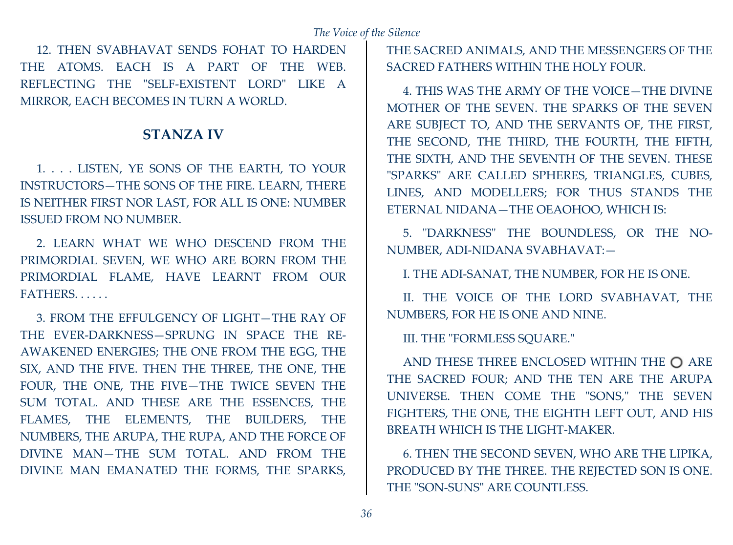<span id="page-39-0"></span>12. THEN SVABHAVAT SENDS FOHAT TO HARDEN THE ATOMS. EACH IS A PART OF THE WEB. REFLECTING THE <sup>ʺ</sup>SELF‐EXISTENT LORDʺ LIKE A MIRROR, EACH BECOMES IN TURN A WORLD.

#### **STANZA IV**

1. . . . LISTEN, YE SONS OF THE EARTH, TO YOUR INSTRUCTORS—THE SONS OF THE FIRE. LEARN, THERE IS NEITHER FIRST NOR LAST, FOR ALL IS ONE: NUMBER ISSUED FROM NO NUMBER.

2. LEARN WHAT WE WHO DESCEND FROM THE PRIMORDIAL SEVEN, WE WHO ARE BORN FROM THE PRIMORDIAL FLAME, HAVE LEARNT FROM OUR FATHERS. . . . . .

3. FROM THE EFFULGENCY OF LIGHT—THE RAY OF THE EVER‐DARKNESS—SPRUNG IN SPACE THE RE‐ AWAKENED ENERGIES; THE ONE FROM THE EGG, THE SIX, AND THE FIVE. THEN THE THREE, THE ONE, THE FOUR, THE ONE, THE FIVE—THE TWICE SEVEN THE SUM TOTAL. AND THESE ARE THE ESSENCES, THE FLAMES, THE ELEMENTS, THE BUILDERS, THE NUMBERS, THE ARUPA, THE RUPA, AND THE FORCE OF DIVINE MAN—THE SUM TOTAL. AND FROM THE DIVINE MAN EMANATED THE FORMS, THE SPARKS,

THE SACRED ANIMALS, AND THE MESSENGERS OF THE SACRED FATHERS WITHIN THE HOLY FOUR.

4. THIS WAS THE ARMY OF THE VOICE—THE DIVINE MOTHER OF THE SEVEN. THE SPARKS OF THE SEVENARE SUBJECT TO, AND THE SERVANTS OF, THE FIRST, THE SECOND, THE THIRD, THE FOURTH, THE FIFTH, THE SIXTH, AND THE SEVENTH OF THE SEVEN. THESE <sup>ʺ</sup>SPARKSʺ ARE CALLED SPHERES, TRIANGLES, CUBES, LINES, AND MODELLERS; FOR THUS STANDS THE ETERNAL NIDANA—THE OEAOHOO, WHICH IS:

5. "DARKNESS" THE BOUNDLESS, OR THE NO-NUMBER, ADI‐NIDANA SVABHAVAT:—

I. THE ADI‐SANAT, THE NUMBER, FOR HE IS ONE.

II. THE VOICE OF THE LORD SVABHAVAT, THE NUMBERS, FOR HE IS ONE AND NINE.

III. THE "FORMLESS SQUARE."

AND THESE THREE ENCLOSED WITHIN THE  $\bigcirc$  are THE SACRED FOUR; AND THE TEN ARE THE ARUPA UNIVERSE. THEN COME THE <sup>ʺ</sup>SONS,ʺ THE SEVEN FIGHTERS, THE ONE, THE EIGHTH LEFT OUT, AND HIS BREATH WHICH IS THE LIGHT‐MAKER.

6. THEN THE SECOND SEVEN, WHO ARE THE LIPIKA, PRODUCED BY THE THREE. THE REJECTED SON IS ONE. THE "SON-SUNS" ARE COUNTLESS.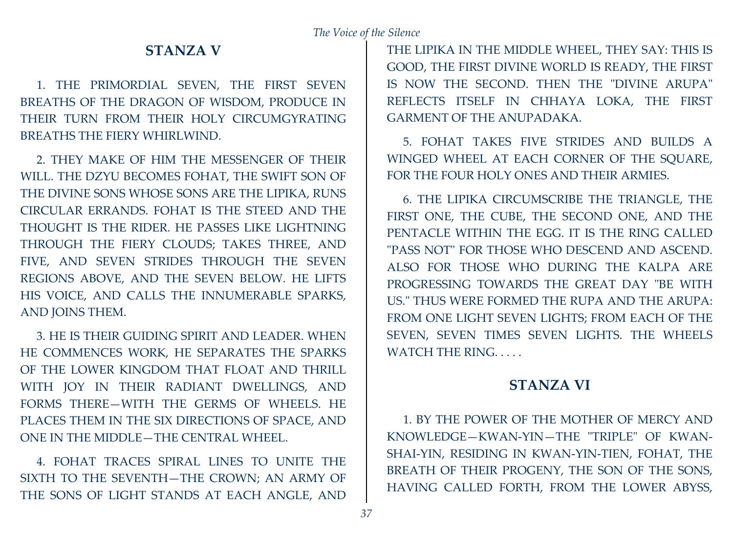#### **STANZA V**

<span id="page-40-0"></span>1. THE PRIMORDIAL SEVEN, THE FIRST SEVEN BREATHS OF THE DRAGON OF WISDOM, PRODUCE IN THEIR TURN FROM THEIR HOLY CIRCUMGYRATING BREATHS THE FIERY WHIRLWIND.

2. THEY MAKE OF HIM THE MESSENGER OF THEIR WILL. THE DZYU BECOMES FOHAT, THE SWIFT SON OF THE DIVINE SONS WHOSE SONS ARE THE LIPIKA, RUNS CIRCULAR ERRANDS. FOHAT IS THE STEED AND THE THOUGHT IS THE RIDER. HE PASSES LIKE LIGHTNINGTHROUGH THE FIERY CLOUDS; TAKES THREE, AND FIVE, AND SEVEN STRIDES THROUGH THE SEVEN REGIONS ABOVE, AND THE SEVEN BELOW. HE LIFTS HIS VOICE, AND CALLS THE INNUMERABLE SPARKS, AND JOINS THEM.

3. HE IS THEIR GUIDING SPIRIT AND LEADER. WHENHE COMMENCES WORK, HE SEPARATES THE SPARKS OF THE LOWER KINGDOM THAT FLOAT AND THRILL WITH JOY IN THEIR RADIANT DWELLINGS, AND FORMS THERE—WITH THE GERMS OF WHEELS. HE PLACES THEM IN THE SIX DIRECTIONS OF SPACE, AND ONE IN THE MIDDLE—THE CENTRAL WHEEL.

4. FOHAT TRACES SPIRAL LINES TO UNITE THE SIXTH TO THE SEVENTH—THE CROWN; AN ARMY OF THE SONS OF LIGHT STANDS AT EACH ANGLE, AND

THE LIPIKA IN THE MIDDLE WHEEL, THEY SAY: THIS IS GOOD, THE FIRST DIVINE WORLD IS READY, THE FIRST IS NOW THE SECOND. THEN THE "DIVINE ARUPA" REFLECTS ITSELF IN CHHAYA LOKA, THE FIRST GARMENT OF THE ANUPADAKA.

5. FOHAT TAKES FIVE STRIDES AND BUILDS AWINGED WHEEL AT EACH CORNER OF THE SQUARE, FOR THE FOUR HOLY ONES AND THEIR ARMIES.

6. THE LIPIKA CIRCUMSCRIBE THE TRIANGLE, THE FIRST ONE, THE CUBE, THE SECOND ONE, AND THE PENTACLE WITHIN THE EGG. IT IS THE RING CALLED "PASS NOT" FOR THOSE WHO DESCEND AND ASCEND. ALSO FOR THOSE WHO DURING THE KALPA ARE PROGRESSING TOWARDS THE GREAT DAY "BE WITH US.ʺ THUS WERE FORMED THE RUPA AND THE ARUPA: FROM ONE LIGHT SEVEN LIGHTS; FROM EACH OF THE SEVEN, SEVEN TIMES SEVEN LIGHTS. THE WHEELS WATCH THE RING. . . . .

#### **STANZA VI**

1. BY THE POWER OF THE MOTHER OF MERCY ANDKNOWLEDGE—KWAN-YIN—THE "TRIPLE" OF KWAN-SHAI-YIN, RESIDING IN KWAN-YIN-TIEN, FOHAT, THE BREATH OF THEIR PROGENY, THE SON OF THE SONS, HAVING CALLED FORTH, FROM THE LOWER ABYSS,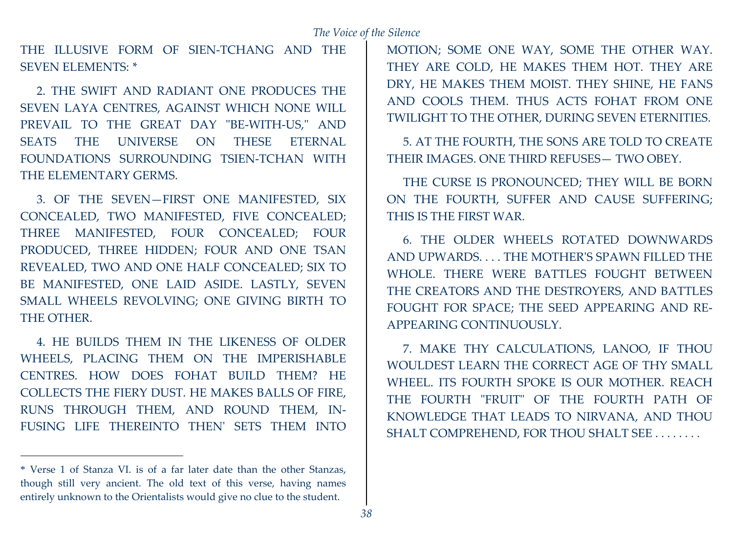THE ILLUSIVE FORM OF SIEN‐TCHANG AND THE SEVEN ELEMENTS: [\\*](#page-41-0)

2. THE SWIFT AND RADIANT ONE PRODUCES THE SEVEN LAYA CENTRES, AGAINST WHICH NONE WILL PREVAIL TO THE GREAT DAY "BE-WITH-US," AND SEATS THE UNIVERSE ON THESE ETERNAL FOUNDATIONS SURROUNDING TSIEN‐TCHAN WITHTHE ELEMENTARY GERMS.

3. OF THE SEVEN—FIRST ONE MANIFESTED, SIX CONCEALED, TWO MANIFESTED, FIVE CONCEALED; THREE MANIFESTED, FOUR CONCEALED; FOUR PRODUCED, THREE HIDDEN; FOUR AND ONE TSAN REVEALED, TWO AND ONE HALF CONCEALED; SIX TO BE MANIFESTED, ONE LAID ASIDE. LASTLY, SEVEN SMALL WHEELS REVOLVING; ONE GIVING BIRTH TO THE OTHER.

4. HE BUILDS THEM IN THE LIKENESS OF OLDER WHEELS, PLACING THEM ON THE IMPERISHABLE CENTRES. HOW DOES FOHAT BUILD THEM? HE COLLECTS THE FIERY DUST. HE MAKES BALLS OF FIRE, RUNS THROUGH THEM, AND ROUND THEM, IN‐ FUSING LIFE THEREINTO THENʹ SETS THEM INTO

MOTION; SOME ONE WAY, SOME THE OTHER WAY. THEY ARE COLD, HE MAKES THEM HOT. THEY ARE DRY, HE MAKES THEM MOIST. THEY SHINE, HE FANS AND COOLS THEM. THUS ACTS FOHAT FROM ONE TWILIGHT TO THE OTHER, DURING SEVEN ETERNITIES.

5. AT THE FOURTH, THE SONS ARE TOLD TO CREATE THEIR IMAGES. ONE THIRD REFUSES— TWO OBEY.

THE CURSE IS PRONOUNCED; THEY WILL BE BORN ON THE FOURTH, SUFFER AND CAUSE SUFFERING; THIS IS THE FIRST WAR.

6. THE OLDER WHEELS ROTATED DOWNWARDS AND UPWARDS. . . . THE MOTHER<sup>ʹ</sup>S SPAWN FILLED THE WHOLE. THERE WERE BATTLES FOUGHT BETWEENTHE CREATORS AND THE DESTROYERS, AND BATTLES FOUGHT FOR SPACE; THE SEED APPEARING AND RE‐ APPEARING CONTINUOUSLY.

7. MAKE THY CALCULATIONS, LANOO, IF THOU WOULDEST LEARN THE CORRECT AGE OF THY SMALL WHEEL. ITS FOURTH SPOKE IS OUR MOTHER. REACH THE FOURTH "FRUIT" OF THE FOURTH PATH OF KNOWLEDGE THAT LEADS TO NIRVANA, AND THOU SHALT COMPREHEND, FOR THOU SHALT SEE . . . . . . . .

<span id="page-41-0"></span><sup>\*</sup> Verse 1 of Stanza VI. is of <sup>a</sup> far later date than the other Stanzas, though still very ancient. The old text of this verse, having names entirely unknown to the Orientalists would give no clue to the student.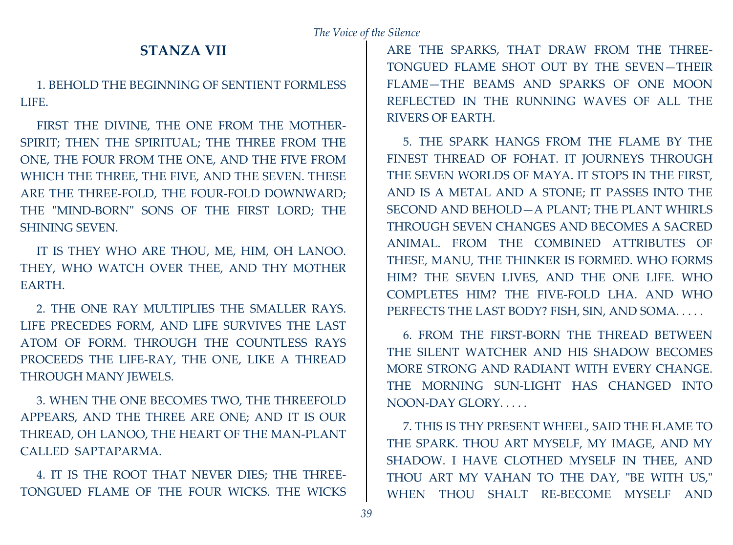#### **STANZA VII**

<span id="page-42-0"></span>1. BEHOLD THE BEGINNING OF SENTIENT FORMLESS LIFE.

FIRST THE DIVINE, THE ONE FROM THE MOTHER‐ SPIRIT; THEN THE SPIRITUAL; THE THREE FROM THE ONE, THE FOUR FROM THE ONE, AND THE FIVE FROM WHICH THE THREE, THE FIVE, AND THE SEVEN. THESE ARE THE THREE‐FOLD, THE FOUR‐FOLD DOWNWARD; THE "MIND-BORN" SONS OF THE FIRST LORD; THE SHINING SEVEN.

IT IS THEY WHO ARE THOU, ME, HIM, OH LANOO. THEY, WHO WATCH OVER THEE, AND THY MOTHER **EARTH** 

2. THE ONE RAY MULTIPLIES THE SMALLER RAYS. LIFE PRECEDES FORM, AND LIFE SURVIVES THE LAST ATOM OF FORM. THROUGH THE COUNTLESS RAYS PROCEEDS THE LIFE‐RAY, THE ONE, LIKE A THREAD THROUGH MANY JEWELS.

3. WHEN THE ONE BECOMES TWO, THE THREEFOLD APPEARS, AND THE THREE ARE ONE; AND IT IS OUR THREAD, OH LANOO, THE HEART OF THE MAN‐PLANT CALLED SAPTAPARMA.

4. IT IS THE ROOT THAT NEVER DIES; THE THREE‐ TONGUED FLAME OF THE FOUR WICKS. THE WICKS ARE THE SPARKS, THAT DRAW FROM THE THREE‐ TONGUED FLAME SHOT OUT BY THE SEVEN—THEIR FLAME—THE BEAMS AND SPARKS OF ONE MOONREFLECTED IN THE RUNNING WAVES OF ALL THE RIVERS OF EARTH.

5. THE SPARK HANGS FROM THE FLAME BY THE FINEST THREAD OF FOHAT. IT JOURNEYS THROUGH THE SEVEN WORLDS OF MAYA. IT STOPS IN THE FIRST, AND IS A METAL AND A STONE; IT PASSES INTO THE SECOND AND BEHOLD—A PLANT; THE PLANT WHIRLS THROUGH SEVEN CHANGES AND BECOMES A SACRED ANIMAL. FROM THE COMBINED ATTRIBUTES OF THESE, MANU, THE THINKER IS FORMED. WHO FORMS HIM? THE SEVEN LIVES, AND THE ONE LIFE. WHO COMPLETES HIM? THE FIVE‐FOLD LHA. AND WHOPERFECTS THE LAST BODY? FISH, SIN, AND SOMA. . . . .

6. FROM THE FIRST‐BORN THE THREAD BETWEEN THE SILENT WATCHER AND HIS SHADOW BECOMES MORE STRONG AND RADIANT WITH EVERY CHANGE. THE MORNING SUN‐LIGHT HAS CHANGED INTONOON‐DAY GLORY. . . . .

7. THIS IS THY PRESENT WHEEL, SAID THE FLAME TO THE SPARK. THOU ART MYSELF, MY IMAGE, AND MY SHADOW. I HAVE CLOTHED MYSELF IN THEE, AND THOU ART MY VAHAN TO THE DAY, "BE WITH US," WHEN THOU SHALT RE‐BECOME MYSELF AND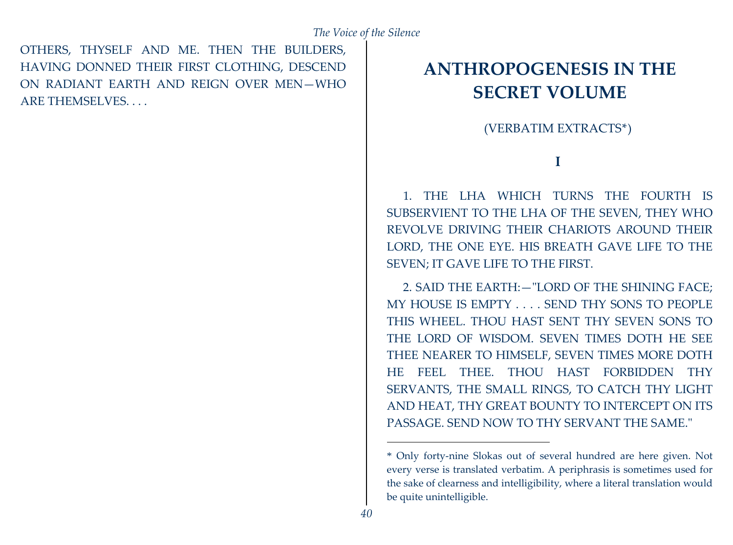<span id="page-43-0"></span>OTHERS, THYSELF AND ME. THEN THE BUILDERS, HAVING DONNED THEIR FIRST CLOTHING, DESCEND ON RADIANT EARTH AND REIGN OVER MEN—WHO ARE THEMSELVES. . . .

### **ANTHROPOGENESIS IN THE SECRET VOLUME**

#### (VERBATIM EXTRACTS[\\*](#page-43-1))

### **I**

1. THE LHA WHICH TURNS THE FOURTH IS SUBSERVIENT TO THE LHA OF THE SEVEN, THEY WHO REVOLVE DRIVING THEIR CHARIOTS AROUND THEIR LORD, THE ONE EYE. HIS BREATH GAVE LIFE TO THE SEVEN; IT GAVE LIFE TO THE FIRST.

2. SAID THE EARTH:—"LORD OF THE SHINING FACE; MY HOUSE IS EMPTY . . . . SEND THY SONS TO PEOPLE THIS WHEEL. THOU HAST SENT THY SEVEN SONS TO THE LORD OF WISDOM. SEVEN TIMES DOTH HE SEE THEE NEARER TO HIMSELF, SEVEN TIMES MORE DOTH HE FEEL THEE. THOU HAST FORBIDDEN THY SERVANTS, THE SMALL RINGS, TO CATCH THY LIGHT AND HEAT, THY GREAT BOUNTY TO INTERCEPT ON ITS PASSAGE. SEND NOW TO THY SERVANT THE SAME."

<span id="page-43-1"></span><sup>\*</sup> Only forty‐nine Slokas out of several hundred are here given. Not every verse is translated verbatim. A periphrasis is sometimes used for the sake of clearness and intelligibility, where <sup>a</sup> literal translation would be quite unintelligible.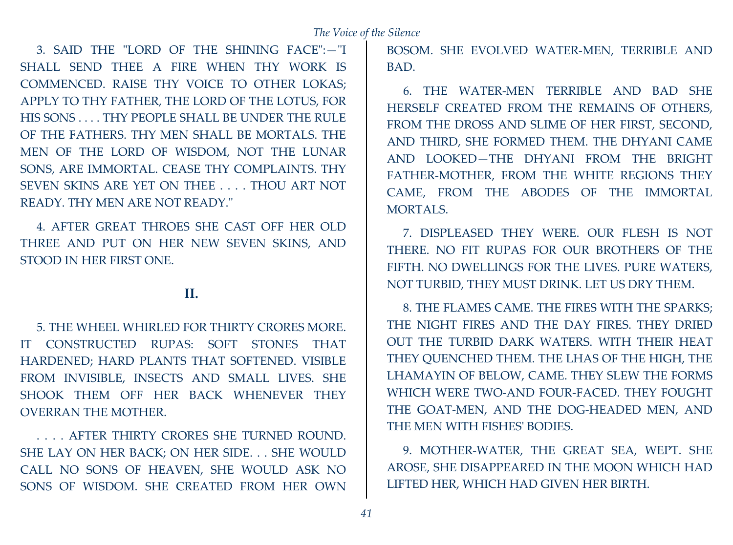3. SAID THE "LORD OF THE SHINING FACE":—"I SHALL SEND THEE A FIRE WHEN THY WORK IS COMMENCED. RAISE THY VOICE TO OTHER LOKAS; APPLY TO THY FATHER, THE LORD OF THE LOTUS, FOR HIS SONS . . . . THY PEOPLE SHALL BE UNDER THE RULE OF THE FATHERS. THY MEN SHALL BE MORTALS. THE MEN OF THE LORD OF WISDOM, NOT THE LUNAR SONS, ARE IMMORTAL. CEASE THY COMPLAINTS. THY SEVEN SKINS ARE YET ON THEE . . . . THOU ART NOT READY. THY MEN ARE NOT READY."

4. AFTER GREAT THROES SHE CAST OFF HER OLDTHREE AND PUT ON HER NEW SEVEN SKINS, AND STOOD IN HER FIRST ONE.

#### **II.**

5. THE WHEEL WHIRLED FOR THIRTY CRORES MORE. IT CONSTRUCTED RUPAS: SOFT STONES THAT HARDENED; HARD PLANTS THAT SOFTENED. VISIBLE FROM INVISIBLE, INSECTS AND SMALL LIVES. SHE SHOOK THEM OFF HER BACK WHENEVER THEY OVERRAN THE MOTHER.

. . . . AFTER THIRTY CRORES SHE TURNED ROUND. SHE LAY ON HER BACK; ON HER SIDE. . . SHE WOULD CALL NO SONS OF HEAVEN, SHE WOULD ASK NO SONS OF WISDOM. SHE CREATED FROM HER OWN

BOSOM. SHE EVOLVED WATER‐MEN, TERRIBLE AND BAD.

6. THE WATER‐MEN TERRIBLE AND BAD SHE HERSELF CREATED FROM THE REMAINS OF OTHERS, FROM THE DROSS AND SLIME OF HER FIRST, SECOND, AND THIRD, SHE FORMED THEM. THE DHYANI CAME AND LOOKED—THE DHYANI FROM THE BRIGHT FATHER‐MOTHER, FROM THE WHITE REGIONS THEY CAME, FROM THE ABODES OF THE IMMORTAL **MORTALS** 

7. DISPLEASED THEY WERE. OUR FLESH IS NOT THERE. NO FIT RUPAS FOR OUR BROTHERS OF THE FIFTH. NO DWELLINGS FOR THE LIVES. PURE WATERS, NOT TURBID, THEY MUST DRINK. LET US DRY THEM.

8. THE FLAMES CAME. THE FIRES WITH THE SPARKS; THE NIGHT FIRES AND THE DAY FIRES. THEY DRIED OUT THE TURBID DARK WATERS. WITH THEIR HEAT THEY QUENCHED THEM. THE LHAS OF THE HIGH, THE LHAMAYIN OF BELOW, CAME. THEY SLEW THE FORMS WHICH WERE TWO‐AND FOUR‐FACED. THEY FOUGHT THE GOAT‐MEN, AND THE DOG‐HEADED MEN, AND THE MEN WITH FISHESʹ BODIES.

9. MOTHER‐WATER, THE GREAT SEA, WEPT. SHE AROSE, SHE DISAPPEARED IN THE MOON WHICH HAD LIFTED HER, WHICH HAD GIVEN HER BIRTH.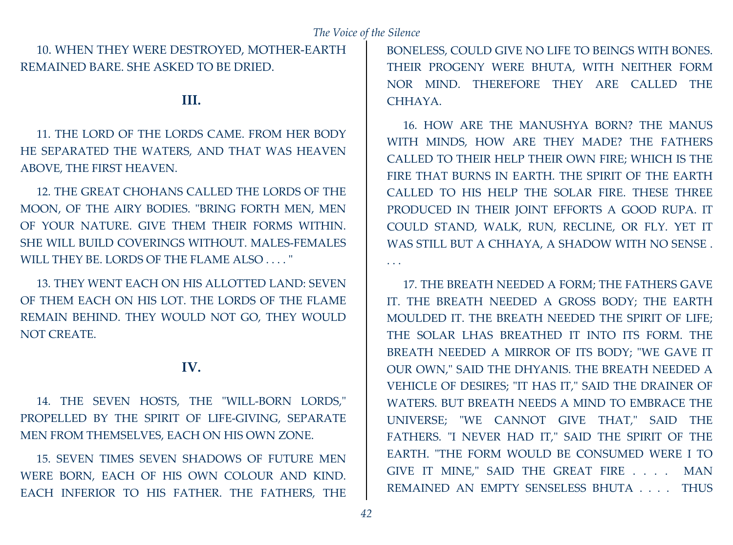. . .

10. WHEN THEY WERE DESTROYED, MOTHER‐EARTH REMAINED BARE. SHE ASKED TO BE DRIED.

#### **III.**

11. THE LORD OF THE LORDS CAME. FROM HER BODY HE SEPARATED THE WATERS, AND THAT WAS HEAVEN ABOVE, THE FIRST HEAVEN.

12. THE GREAT CHOHANS CALLED THE LORDS OF THE MOON, OF THE AIRY BODIES. "BRING FORTH MEN, MEN OF YOUR NATURE. GIVE THEM THEIR FORMS WITHIN. SHE WILL BUILD COVERINGS WITHOUT. MALES‐FEMALES WILL THEY BE. LORDS OF THE FLAME ALSO . . . . "

13. THEY WENT EACH ON HIS ALLOTTED LAND: SEVEN OF THEM EACH ON HIS LOT. THE LORDS OF THE FLAME REMAIN BEHIND. THEY WOULD NOT GO, THEY WOULD NOT CREATE.

#### **IV.**

14. THE SEVEN HOSTS, THE "WILL-BORN LORDS," PROPELLED BY THE SPIRIT OF LIFE‐GIVING, SEPARATE MEN FROM THEMSELVES, EACH ON HIS OWN ZONE.

15. SEVEN TIMES SEVEN SHADOWS OF FUTURE MEN WERE BORN, EACH OF HIS OWN COLOUR AND KIND. EACH INFERIOR TO HIS FATHER. THE FATHERS, THE BONELESS, COULD GIVE NO LIFE TO BEINGS WITH BONES. THEIR PROGENY WERE BHUTA, WITH NEITHER FORM NOR MIND. THEREFORE THEY ARE CALLED THE CHHAYA.

16. HOW ARE THE MANUSHYA BORN? THE MANUS WITH MINDS, HOW ARE THEY MADE? THE FATHERS CALLED TO THEIR HELP THEIR OWN FIRE; WHICH IS THE FIRE THAT BURNS IN EARTH. THE SPIRIT OF THE EARTHCALLED TO HIS HELP THE SOLAR FIRE. THESE THREE PRODUCED IN THEIR JOINT EFFORTS A GOOD RUPA. IT COULD STAND, WALK, RUN, RECLINE, OR FLY. YET IT WAS STILL BUT A CHHAYA, A SHADOW WITH NO SENSE .

17. THE BREATH NEEDED A FORM; THE FATHERS GAVE IT. THE BREATH NEEDED A GROSS BODY; THE EARTH MOULDED IT. THE BREATH NEEDED THE SPIRIT OF LIFE; THE SOLAR LHAS BREATHED IT INTO ITS FORM. THE BREATH NEEDED A MIRROR OF ITS BODY; "WE GAVE IT OUR OWN," SAID THE DHYANIS. THE BREATH NEEDED A VEHICLE OF DESIRES; "IT HAS IT," SAID THE DRAINER OF WATERS. BUT BREATH NEEDS A MIND TO EMBRACE THE UNIVERSE; "WE CANNOT GIVE THAT," SAID THE FATHERS. "I NEVER HAD IT," SAID THE SPIRIT OF THE EARTH. "THE FORM WOULD BE CONSUMED WERE I TO GIVE IT MINE,ʺ SAID THE GREAT FIRE . . . . MAN REMAINED AN EMPTY SENSELESS BHUTA . . . . THUS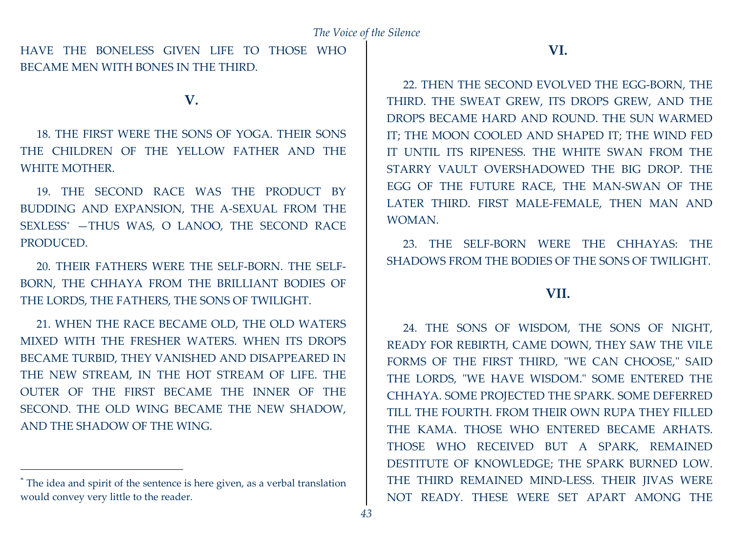HAVE THE BONELESS GIVEN LIFE TO THOSE WHO BECAME MEN WITH BONES IN THE THIRD.

**V.**

18. THE FIRST WERE THE SONS OF YOGA. THEIR SONS THE CHILDREN OF THE YELLOW FATHER AND THE WHITE MOTHER.

19. THE SECOND RACE WAS THE PRODUCT BY BUDDING AND EXPANSION, THE A‐SEXUAL FROM THE SEXLESS[\\*](#page-46-0) —THUS WAS, O LANOO, THE SECOND RACE PRODUCED.

20. THEIR FATHERS WERE THE SELF‐BORN. THE SELF‐ BORN, THE CHHAYA FROM THE BRILLIANT BODIES OF THE LORDS, THE FATHERS, THE SONS OF TWILIGHT.

21. WHEN THE RACE BECAME OLD, THE OLD WATERS MIXED WITH THE FRESHER WATERS. WHEN ITS DROPS BECAME TURBID, THEY VANISHED AND DISAPPEARED IN THE NEW STREAM, IN THE HOT STREAM OF LIFE. THE OUTER OF THE FIRST BECAME THE INNER OF THE SECOND. THE OLD WING BECAME THE NEW SHADOW, AND THE SHADOW OF THE WING.

**VI.**

22. THEN THE SECOND EVOLVED THE EGG‐BORN, THE THIRD. THE SWEAT GREW, ITS DROPS GREW, AND THE DROPS BECAME HARD AND ROUND. THE SUN WARMED IT; THE MOON COOLED AND SHAPED IT; THE WIND FED IT UNTIL ITS RIPENESS. THE WHITE SWAN FROM THE STARRY VAULT OVERSHADOWED THE BIG DROP. THE EGG OF THE FUTURE RACE, THE MAN‐SWAN OF THE LATER THIRD. FIRST MALE‐FEMALE, THEN MAN AND **WOMAN** 

23. THE SELF‐BORN WERE THE CHHAYAS: THE SHADOWS FROM THE BODIES OF THE SONS OF TWILIGHT.

#### **VII.**

24. THE SONS OF WISDOM, THE SONS OF NIGHT, READY FOR REBIRTH, CAME DOWN, THEY SAW THE VILE FORMS OF THE FIRST THIRD, "WE CAN CHOOSE," SAID THE LORDS, "WE HAVE WISDOM." SOME ENTERED THE CHHAYA. SOME PROJECTED THE SPARK. SOME DEFERRED TILL THE FOURTH. FROM THEIR OWN RUPA THEY FILLED THE KAMA. THOSE WHO ENTERED BECAME ARHATS. THOSE WHO RECEIVED BUT A SPARK, REMAINED DESTITUTE OF KNOWLEDGE; THE SPARK BURNED LOW. THE THIRD REMAINED MIND‐LESS. THEIR JIVAS WERE NOT READY. THESE WERE SET APART AMONG THE

<span id="page-46-0"></span><sup>\*</sup> The idea and spirit of the sentence is here given, as <sup>a</sup> verbal translation would convey very little to the reader.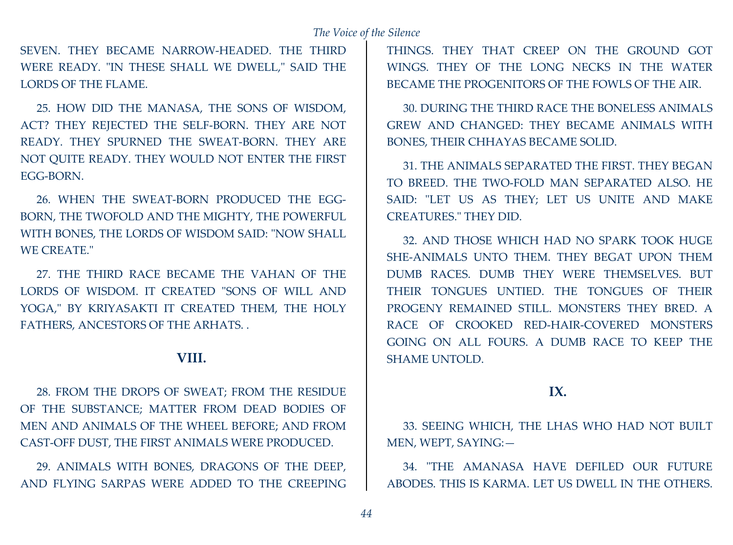SEVEN. THEY BECAME NARROW‐HEADED. THE THIRDWERE READY. "IN THESE SHALL WE DWELL," SAID THE LORDS OF THE FLAME.

25. HOW DID THE MANASA, THE SONS OF WISDOM, ACT? THEY REJECTED THE SELF‐BORN. THEY ARE NOT READY. THEY SPURNED THE SWEAT‐BORN. THEY ARE NOT QUITE READY. THEY WOULD NOT ENTER THE FIRST EGG-BORN.

26. WHEN THE SWEAT‐BORN PRODUCED THE EGG‐ BORN, THE TWOFOLD AND THE MIGHTY, THE POWERFUL WITH BONES, THE LORDS OF WISDOM SAID: "NOW SHALL WE CREATE."

27. THE THIRD RACE BECAME THE VAHAN OF THE LORDS OF WISDOM. IT CREATED "SONS OF WILL AND YOGA," BY KRIYASAKTI IT CREATED THEM, THE HOLY FATHERS, ANCESTORS OF THE ARHATS. .

#### **VIII.**

28. FROM THE DROPS OF SWEAT; FROM THE RESIDUE OF THE SUBSTANCE; MATTER FROM DEAD BODIES OF MEN AND ANIMALS OF THE WHEEL BEFORE; AND FROM CAST‐OFF DUST, THE FIRST ANIMALS WERE PRODUCED.

29. ANIMALS WITH BONES, DRAGONS OF THE DEEP, AND FLYING SARPAS WERE ADDED TO THE CREEPING THINGS. THEY THAT CREEP ON THE GROUND GOT WINGS. THEY OF THE LONG NECKS IN THE WATER BECAME THE PROGENITORS OF THE FOWLS OF THE AIR.

30. DURING THE THIRD RACE THE BONELESS ANIMALS GREW AND CHANGED: THEY BECAME ANIMALS WITH BONES, THEIR CHHAYAS BECAME SOLID.

31. THE ANIMALS SEPARATED THE FIRST. THEY BEGANTO BREED. THE TWO‐FOLD MAN SEPARATED ALSO. HE SAID: "LET US AS THEY; LET US UNITE AND MAKE CREATURES.ʺ THEY DID.

32. AND THOSE WHICH HAD NO SPARK TOOK HUGE SHE‐ANIMALS UNTO THEM. THEY BEGAT UPON THEMDUMB RACES. DUMB THEY WERE THEMSELVES. BUT THEIR TONGUES UNTIED. THE TONGUES OF THEIR PROGENY REMAINED STILL. MONSTERS THEY BRED. ARACE OF CROOKED RED‐HAIR‐COVERED MONSTERS GOING ON ALL FOURS. A DUMB RACE TO KEEP THE SHAME UNTOLD.

#### **IX.**

33. SEEING WHICH, THE LHAS WHO HAD NOT BUILT MEN, WEPT, SAYING:—

34. "THE AMANASA HAVE DEFILED OUR FUTURE ABODES. THIS IS KARMA. LET US DWELL IN THE OTHERS.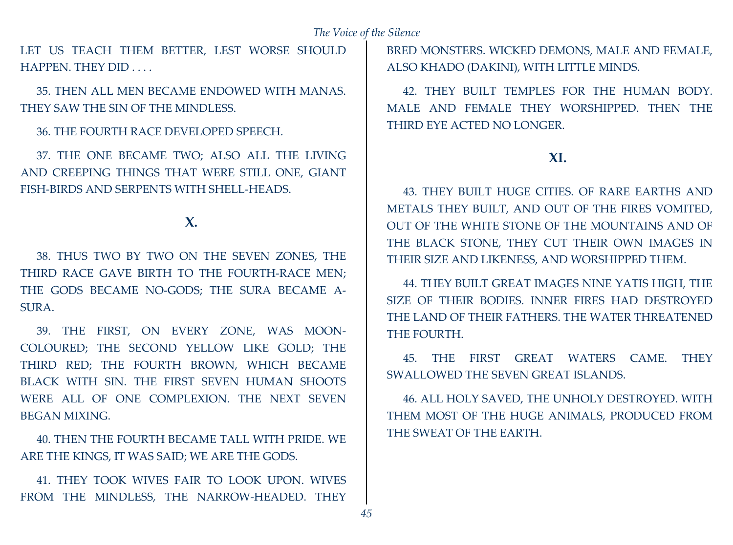LET US TEACH THEM BETTER, LEST WORSE SHOULD HAPPEN. THEY DID . . . .

35. THEN ALL MEN BECAME ENDOWED WITH MANAS. THEY SAW THE SIN OF THE MINDLESS.

36. THE FOURTH RACE DEVELOPED SPEECH.

37. THE ONE BECAME TWO; ALSO ALL THE LIVING AND CREEPING THINGS THAT WERE STILL ONE, GIANT FISH‐BIRDS AND SERPENTS WITH SHELL‐HEADS.

#### **X.**

38. THUS TWO BY TWO ON THE SEVEN ZONES, THE THIRD RACE GAVE BIRTH TO THE FOURTH‐RACE MEN; THE GODS BECAME NO‐GODS; THE SURA BECAME A‐ SURA.

39. THE FIRST, ON EVERY ZONE, WAS MOON‐ COLOURED; THE SECOND YELLOW LIKE GOLD; THE THIRD RED; THE FOURTH BROWN, WHICH BECAME BLACK WITH SIN. THE FIRST SEVEN HUMAN SHOOTS WERE ALL OF ONE COMPLEXION. THE NEXT SEVENBEGAN MIXING.

40. THEN THE FOURTH BECAME TALL WITH PRIDE. WE ARE THE KINGS, IT WAS SAID; WE ARE THE GODS.

41. THEY TOOK WIVES FAIR TO LOOK UPON. WIVES FROM THE MINDLESS, THE NARROW‐HEADED. THEY BRED MONSTERS. WICKED DEMONS, MALE AND FEMALE, ALSO KHADO (DAKINI), WITH LITTLE MINDS.

42. THEY BUILT TEMPLES FOR THE HUMAN BODY. MALE AND FEMALE THEY WORSHIPPED. THEN THE THIRD EYE ACTED NO LONGER.

#### **XI.**

43. THEY BUILT HUGE CITIES. OF RARE EARTHS ANDMETALS THEY BUILT, AND OUT OF THE FIRES VOMITED, OUT OF THE WHITE STONE OF THE MOUNTAINS AND OF THE BLACK STONE, THEY CUT THEIR OWN IMAGES IN THEIR SIZE AND LIKENESS, AND WORSHIPPED THEM.

44. THEY BUILT GREAT IMAGES NINE YATIS HIGH, THE SIZE OF THEIR BODIES. INNER FIRES HAD DESTROYED THE LAND OF THEIR FATHERS. THE WATER THREATENED THE FOURTH.

45. THE FIRST GREAT WATERS CAME. THEYSWALLOWED THE SEVEN GREAT ISLANDS.

46. ALL HOLY SAVED, THE UNHOLY DESTROYED. WITH THEM MOST OF THE HUGE ANIMALS, PRODUCED FROM THE SWEAT OF THE EARTH.